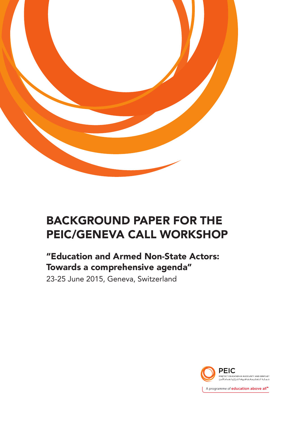

# BACKGROUND PAPER FOR THE PEIC/GENEVA CALL WORKSHOP

# "Education and Armed Non-State Actors: Towards a comprehensive agenda"

23-25 June 2015, Geneva, Switzerland

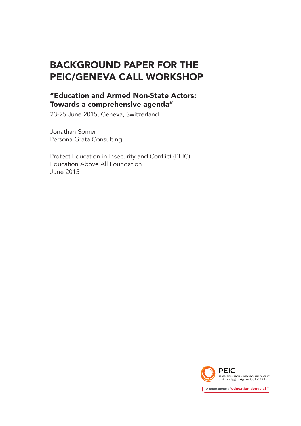# BACKGROUND PAPER FOR THE PEIC/GENEVA CALL WORKSHOP

### "Education and Armed Non-State Actors: Towards a comprehensive agenda"

23-25 June 2015, Geneva, Switzerland

Jonathan Somer Persona Grata Consulting

Protect Education in Insecurity and Conflict (PEIC) Education Above All Foundation June 2015

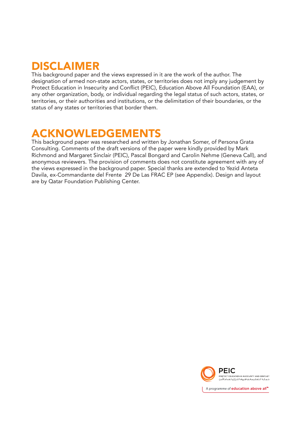# DISCLAIMER

This background paper and the views expressed in it are the work of the author. The designation of armed non-state actors, states, or territories does not imply any judgement by Protect Education in Insecurity and Conflict (PEIC), Education Above All Foundation (EAA), or any other organization, body, or individual regarding the legal status of such actors, states, or territories, or their authorities and institutions, or the delimitation of their boundaries, or the status of any states or territories that border them.

# ACKNOWLEDGEMENTS

This background paper was researched and written by Jonathan Somer, of Persona Grata Consulting. Comments of the draft versions of the paper were kindly provided by Mark Richmond and Margaret Sinclair (PEIC), Pascal Bongard and Carolin Nehme (Geneva Call), and anonymous reviewers. The provision of comments does not constitute agreement with any of the views expressed in the background paper. Special thanks are extended to Yezid Anteta Davila, ex-Commandante del Frente 29 De Las FRAC EP (see Appendix). Design and layout are by Qatar Foundation Publishing Center.

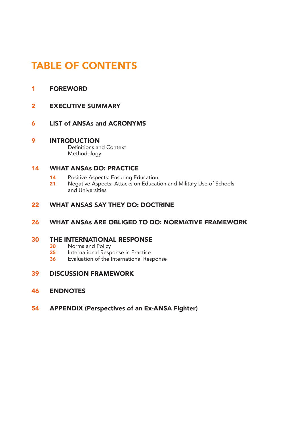# TABLE OF CONTENTS

### 1 FOREWORD

- 2 EXECUTIVE SUMMARY
- 6 LIST of ANSAs and ACRONYMS

#### 9 INTRODUCTION Definitions and Context Methodology

#### 14 WHAT ANSAs DO: PRACTICE

- 14 Positive Aspects: Ensuring Education<br>21 Negative Aspects: Attacks on Educat
- Negative Aspects: Attacks on Education and Military Use of Schools and Universities

#### 22 WHAT ANSAS SAY THEY DO: DOCTRINE

#### 26 WHAT ANSAs ARE OBLIGED TO DO: NORMATIVE FRAMEWORK

# **30 THE INTERNATIONAL RESPONSE**<br>**30** Norms and Policy

- 30 Norms and Policy<br>35 International Reso
- International Response in Practice
- 36 Evaluation of the International Response

#### 39 DISCUSSION FRAMEWORK

- 46 ENDNOTES
- 54 APPENDIX (Perspectives of an Ex-ANSA Fighter)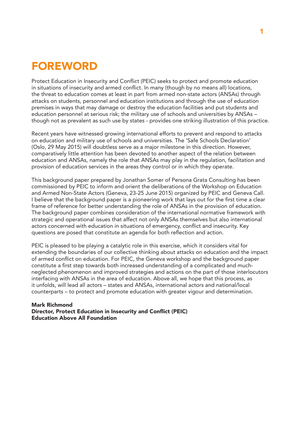# FOREWORD

Protect Education in Insecurity and Conflict (PEIC) seeks to protect and promote education in situations of insecurity and armed conflict. In many (though by no means all) locations, the threat to education comes at least in part from armed non-state actors (ANSAs) through attacks on students, personnel and education institutions and through the use of education premises in ways that may damage or destroy the education facilities and put students and education personnel at serious risk; the military use of schools and universities by ANSAs – though not as prevalent as such use by states - provides one striking illustration of this practice.

Recent years have witnessed growing international efforts to prevent and respond to attacks on education and military use of schools and universities. The 'Safe Schools Declaration' (Oslo, 29 May 2015) will doubtless serve as a major milestone in this direction. However, comparatively little attention has been devoted to another aspect of the relation between education and ANSAs, namely the role that ANSAs may play in the regulation, facilitation and provision of education services in the areas they control or in which they operate.

This background paper prepared by Jonathan Somer of Persona Grata Consulting has been commissioned by PEIC to inform and orient the deliberations of the Workshop on Education and Armed Non-State Actors (Geneva, 23-25 June 2015) organized by PEIC and Geneva Call. I believe that the background paper is a pioneering work that lays out for the first time a clear frame of reference for better understanding the role of ANSAs in the provision of education. The background paper combines consideration of the international normative framework with strategic and operational issues that affect not only ANSAs themselves but also international actors concerned with education in situations of emergency, conflict and insecurity. Key questions are posed that constitute an agenda for both reflection and action.

PEIC is pleased to be playing a catalytic role in this exercise, which it considers vital for extending the boundaries of our collective thinking about attacks on education and the impact of armed conflict on education. For PEIC, the Geneva workshop and the background paper constitute a first step towards both increased understanding of a complicated and muchneglected phenomenon and improved strategies and actions on the part of those interlocutors interfacing with ANSAs in the area of education. Above all, we hope that this process, as it unfolds, will lead all actors – states and ANSAs, international actors and national/local counterparts – to protect and promote education with greater vigour and determination.

#### Mark Richmond Director, Protect Education in Insecurity and Conflict (PEIC) Education Above All Foundation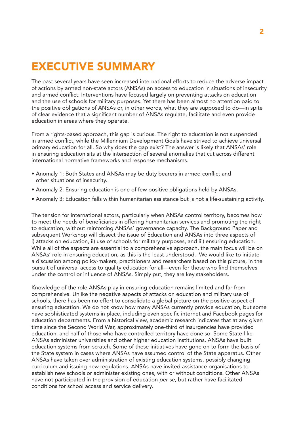# EXECUTIVE SUMMARY

The past several years have seen increased international efforts to reduce the adverse impact of actions by armed non-state actors (ANSAs) on access to education in situations of insecurity and armed conflict. Interventions have focused largely on preventing attacks on education and the use of schools for military purposes. Yet there has been almost no attention paid to the positive obligations of ANSAs or, in other words, what they are supposed to do—in spite of clear evidence that a significant number of ANSAs regulate, facilitate and even provide education in areas where they operate.

From a rights-based approach, this gap is curious. The right to education is not suspended in armed conflict, while the Millennium Development Goals have strived to achieve universal primary education for all. So why does the gap exist? The answer is likely that ANSAs' role in ensuring education sits at the intersection of several anomalies that cut across different international normative frameworks and response mechanisms.

- Anomaly 1: Both States and ANSAs may be duty bearers in armed conflict and other situations of insecurity.
- Anomaly 2: Ensuring education is one of few positive obligations held by ANSAs.
- Anomaly 3: Education falls within humanitarian assistance but is not a life-sustaining activity.

The tension for international actors, particularly when ANSAs control territory, becomes how to meet the needs of beneficiaries in offering humanitarian services and promoting the right to education, without reinforcing ANSAs' governance capacity. The Background Paper and subsequent Workshop will dissect the issue of Education and ANSAs into three aspects of i) attacks on education, ii) use of schools for military purposes, and iii) ensuring education. While all of the aspects are essential to a comprehensive approach, the main focus will be on ANSAs' role in ensuring education, as this is the least understood. We would like to initiate a discussion among policy-makers, practitioners and researchers based on this picture, in the pursuit of universal access to quality education for all—even for those who find themselves under the control or influence of ANSAs. Simply put, they are key stakeholders.

Knowledge of the role ANSAs play in ensuring education remains limited and far from comprehensive. Unlike the negative aspects of attacks on education and military use of schools, there has been no effort to consolidate a global picture on the positive aspect of ensuring education. We do not know how many ANSAs currently provide education, but some have sophisticated systems in place, including even specific internet and Facebook pages for education departments. From a historical view, academic research indicates that at any given time since the Second World War, approximately one-third of insurgencies have provided education, and half of those who have controlled territory have done so. Some State-like ANSAs administer universities and other higher education institutions. ANSAs have built education systems from scratch. Some of these initiatives have gone on to form the basis of the State system in cases where ANSAs have assumed control of the State apparatus. Other ANSAs have taken over administration of existing education systems, possibly changing curriculum and issuing new regulations. ANSAs have invited assistance organisations to establish new schools or administer existing ones, with or without conditions. Other ANSAs have not participated in the provision of education *per se*, but rather have facilitated conditions for school access and service delivery.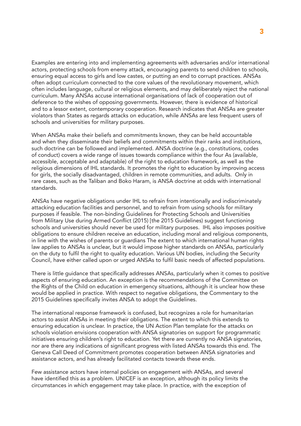Examples are entering into and implementing agreements with adversaries and/or international actors, protecting schools from enemy attack, encouraging parents to send children to schools, ensuring equal access to girls and low castes, or putting an end to corrupt practices. ANSAs often adopt curriculum connected to the core values of the revolutionary movement, which often includes language, cultural or religious elements, and may deliberately reject the national curriculum. Many ANSAs accuse international organisations of lack of cooperation out of deference to the wishes of opposing governments. However, there is evidence of historical and to a lessor extent, contemporary cooperation. Research indicates that ANSAs are greater violators than States as regards attacks on education, while ANSAs are less frequent users of schools and universities for military purposes.

When ANSAs make their beliefs and commitments known, they can be held accountable and when they disseminate their beliefs and commitments within their ranks and institutions, such doctrine can be followed and implemented. ANSA doctrine (e.g., constitutions, codes of conduct) covers a wide range of issues towards compliance within the four As (available, accessible, acceptable and adaptable) of the right to education framework, as well as the religious dimensions of IHL standards. It promotes the right to education by improving access for girls, the socially disadvantaged, children in remote communities, and adults. Only in rare cases, such as the Taliban and Boko Haram, is ANSA doctrine at odds with international standards.

ANSAs have negative obligations under IHL to refrain from intentionally and indiscriminately attacking education facilities and personnel, and to refrain from using schools for military purposes if feasible. The non-binding Guidelines for Protecting Schools and Universities from Military Use during Armed Conflict (2015) [the 2015 Guidelines) suggest functioning schools and universities should never be used for military purposes. IHL also imposes positive obligations to ensure children receive an education, including moral and religious components, in line with the wishes of parents or guardians The extent to which international human rights law applies to ANSAs is unclear, but it would impose higher standards on ANSAs, particularly on the duty to fulfil the right to quality education. Various UN bodies, including the Security Council, have either called upon or urged ANSAs to fulfil basic needs of affected populations.

There is little guidance that specifically addresses ANSAs, particularly when it comes to positive aspects of ensuring education. An exception is the recommendations of the Committee on the Rights of the Child on education in emergency situations, although it is unclear how these would be applied in practice. With respect to negative obligations, the Commentary to the 2015 Guidelines specifically invites ANSA to adopt the Guidelines.

The international response framework is confused, but recognizes a role for humanitarian actors to assist ANSAs in meeting their obligations. The extent to which this extends to ensuring education is unclear. In practice, the UN Action Plan template for the attacks on schools violation envisions cooperation with ANSA signatories on support for programmatic initiatives ensuring children's right to education. Yet there are currently no ANSA signatories, nor are there any indications of significant progress with listed ANSAs towards this end. The Geneva Call Deed of Commitment promotes cooperation between ANSA signatories and assistance actors, and has already facilitated contacts towards these ends.

Few assistance actors have internal policies on engagement with ANSAs, and several have identified this as a problem. UNICEF is an exception, although its policy limits the circumstances in which engagement may take place. In practice, with the exception of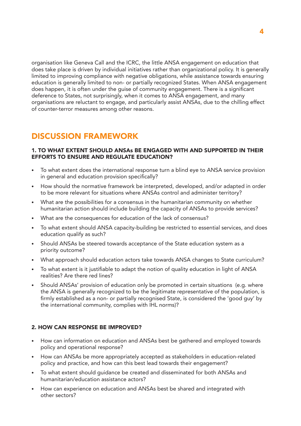organisation like Geneva Call and the ICRC, the little ANSA engagement on education that does take place is driven by individual initiatives rather than organizational policy. It is generally limited to improving compliance with negative obligations, while assistance towards ensuring education is generally limited to non- or partially recognized States. When ANSA engagement does happen, it is often under the guise of community engagement. There is a significant deference to States, not surprisingly, when it comes to ANSA engagement, and many organisations are reluctant to engage, and particularly assist ANSAs, due to the chilling effect of counter-terror measures among other reasons.

### DISCUSSION FRAMEWORK

#### 1. TO WHAT EXTENT SHOULD ANSAs BE ENGAGED WITH AND SUPPORTED IN THEIR EFFORTS TO ENSURE AND REGULATE EDUCATION?

- To what extent does the international response turn a blind eye to ANSA service provision in general and education provision specifically?
- How should the normative framework be interpreted, developed, and/or adapted in order to be more relevant for situations where ANSAs control and administer territory?
- What are the possibilities for a consensus in the humanitarian community on whether humanitarian action should include building the capacity of ANSAs to provide services?
- What are the consequences for education of the lack of consensus?
- To what extent should ANSA capacity-building be restricted to essential services, and does education qualify as such?
- Should ANSAs be steered towards acceptance of the State education system as a priority outcome?
- What approach should education actors take towards ANSA changes to State curriculum?
- To what extent is it justifiable to adapt the notion of quality education in light of ANSA realities? Are there red lines?
- Should ANSAs' provision of education only be promoted in certain situations (e.g. where the ANSA is generally recognized to be the legitimate representative of the population, is firmly established as a non- or partially recognised State, is considered the 'good guy' by the international community, complies with IHL norms)?

#### 2. HOW CAN RESPONSE BE IMPROVED?

- How can information on education and ANSAs best be gathered and employed towards policy and operational response?
- How can ANSAs be more appropriately accepted as stakeholders in education-related policy and practice, and how can this best lead towards their engagement?
- To what extent should guidance be created and disseminated for both ANSAs and humanitarian/education assistance actors?
- How can experience on education and ANSAs best be shared and integrated with other sectors?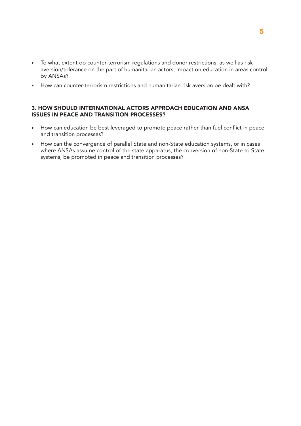- To what extent do counter-terrorism regulations and donor restrictions, as well as risk aversion/tolerance on the part of humanitarian actors, impact on education in areas control by ANSAs?
- How can counter-terrorism restrictions and humanitarian risk aversion be dealt with?

#### 3. HOW SHOULD INTERNATIONAL ACTORS APPROACH EDUCATION AND ANSA ISSUES IN PEACE AND TRANSITION PROCESSES?

- How can education be best leveraged to promote peace rather than fuel conflict in peace and transition processes?
- How can the convergence of parallel State and non-State education systems, or in cases where ANSAs assume control of the state apparatus, the conversion of non-State to State systems, be promoted in peace and transition processes?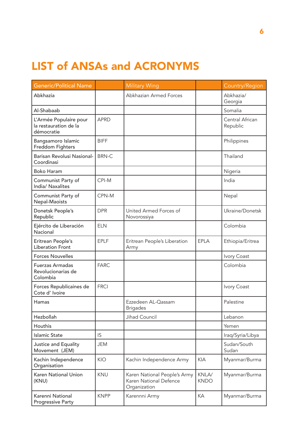# LIST of ANSAs and ACRONYMS

| <b>Generic/Political Name</b>                                 |              | <b>Military Wing</b>                                                   |                      | Country/Region              |
|---------------------------------------------------------------|--------------|------------------------------------------------------------------------|----------------------|-----------------------------|
| Abkhazia                                                      |              | Abkhazian Armed Forces                                                 |                      | Abkhazia/<br>Georgia        |
| Al-Shabaab                                                    |              |                                                                        |                      | Somalia                     |
| L'Armée Populaire pour<br>la restauration de la<br>démocratie | <b>APRD</b>  |                                                                        |                      | Central African<br>Republic |
| Bangsamoro Islamic<br>Freddom Fighters                        | <b>BIFF</b>  |                                                                        |                      | Philippines                 |
| Barisan Revolusi Nasional-<br>Coordinasi                      | <b>BRN-C</b> |                                                                        |                      | Thailand                    |
| <b>Boko Haram</b>                                             |              |                                                                        |                      | Nigeria                     |
| Communist Party of<br>India/ Naxalites                        | CPI-M        |                                                                        |                      | India                       |
| Communist Party of<br>Nepal-Maoists                           | CPN-M        |                                                                        |                      | Nepal                       |
| Donetsk People's<br>Republic                                  | <b>DPR</b>   | United Armed Forces of<br>Novorossiya                                  |                      | Ukraine/Donetsk             |
| Ejército de Liberación<br>Nacional                            | <b>ELN</b>   |                                                                        |                      | Colombia                    |
| Eritrean People's<br><b>Liberation Front</b>                  | <b>EPLF</b>  | Eritrean People's Liberation<br>Army                                   | <b>EPLA</b>          | Ethiopia/Eritrea            |
| <b>Forces Nouvelles</b>                                       |              |                                                                        |                      | Ivory Coast                 |
| <b>Fuerzas Armadas</b><br>Revolucionarias de<br>Colombia      | <b>FARC</b>  |                                                                        |                      | Colombia                    |
| Forces Republicaines de<br>Cote d' Ivoire                     | <b>FRCI</b>  |                                                                        |                      | Ivory Coast                 |
| Hamas                                                         |              | Ezzedeen AL-Qassam<br><b>Brigades</b>                                  |                      | Palestine                   |
| Hezbollah                                                     |              | Jihad Council                                                          |                      | Lebanon                     |
| Houthis                                                       |              |                                                                        |                      | Yemen                       |
| <b>Islamic State</b>                                          | IS           |                                                                        |                      | Iraq/Syria/Libya            |
| Justice and Equality<br>Movement (JEM)                        | <b>JEM</b>   |                                                                        |                      | Sudan/South<br>Sudan        |
| Kachin Independence<br>Organisation                           | KIO          | Kachin Independence Army                                               | <b>KIA</b>           | Myanmar/Burma               |
| Karen National Union<br>(KNU)                                 | KNU          | Karen National People's Army<br>Karen National Defence<br>Organization | KNLA/<br><b>KNDO</b> | Myanmar/Burma               |
| Karenni National<br><b>Progressive Party</b>                  | <b>KNPP</b>  | Karennni Army                                                          | KA                   | Myanmar/Burma               |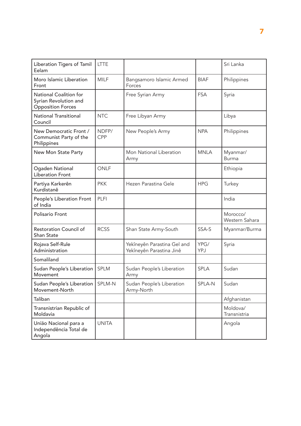| Liberation Tigers of Tamil<br>Eelam                                         | <b>LTTE</b>  |                                                         |             | Sri Lanka                  |
|-----------------------------------------------------------------------------|--------------|---------------------------------------------------------|-------------|----------------------------|
| Moro Islamic Liberation<br>Front                                            | <b>MILF</b>  | Bangsamoro Islamic Armed<br>Forces                      | <b>BIAF</b> | Philippines                |
| National Coalition for<br>Syrian Revolution and<br><b>Opposition Forces</b> |              | Free Syrian Army                                        | <b>FSA</b>  | Syria                      |
| <b>National Transitional</b><br>Council                                     | <b>NTC</b>   | Free Libyan Army                                        |             | Libya                      |
| New Democratic Front /<br>Communist Party of the<br>Philippines             | NDFP/<br>CPP | New People's Army                                       | <b>NPA</b>  | Philippines                |
| New Mon State Party                                                         |              | Mon National Liberation<br>Army                         | <b>MNLA</b> | Myanmar/<br><b>Burma</b>   |
| Ogaden National<br><b>Liberation Front</b>                                  | ONLF         |                                                         |             | Ethiopia                   |
| Partiya Karkerên<br>Kurdistanê                                              | <b>PKK</b>   | Hezen Parastina Gele                                    | <b>HPG</b>  | Turkey                     |
| People's Liberation Front<br>of India                                       | PLFI         |                                                         |             | India                      |
| Polisario Front                                                             |              |                                                         |             | Morocco/<br>Western Sahara |
| Restoration Council of<br>Shan State                                        | <b>RCSS</b>  | Shan State Army-South                                   | SSA-S       | Myanmar/Burma              |
| Rojava Self-Rule<br>Administration                                          |              | Yekîneyên Parastina Gel and<br>Yekîneyên Parastina Jinê | YPG/<br>YPJ | Syria                      |
| Somaliland                                                                  |              |                                                         |             |                            |
| Sudan People's Liberation<br>Movement                                       | <b>SPLM</b>  | Sudan People's Liberation<br>Army                       | <b>SPLA</b> | Sudan                      |
| Sudan People's Liberation   SPLM-N<br>Movement-North                        |              | Sudan People's Liberation<br>Army-North                 | SPLA-N      | Sudan                      |
| Taliban                                                                     |              |                                                         |             | Afghanistan                |
| Transnistrian Republic of<br>Moldavia                                       |              |                                                         |             | Moldova/<br>Transnistria   |
| União Nacional para a<br>Independência Total de<br>Angola                   | <b>UNITA</b> |                                                         |             | Angola                     |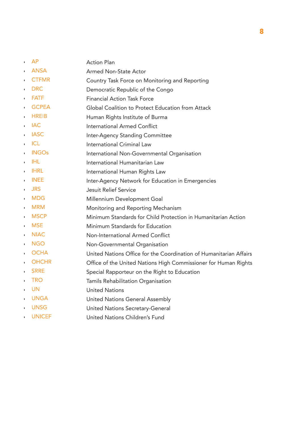- AP Action Plan
- ANSA Armed Non-State Actor
- CTFMR Country Task Force on Monitoring and Reporting
- **DRC** Democratic Republic of the Congo
- FATF Financial Action Task Force
- GCPEA Global Coalition to Protect Education from Attack
- HREIB Human Rights Institute of Burma
- IAC International Armed Conflict
- IASC Inter-Agency Standing Committee
- ICL International Criminal Law
- INGOs International Non-Governmental Organisation
- IHL International Humanitarian Law
- IHRL International Human Rights Law
- INEE Inter-Agency Network for Education in Emergencies
- JRS Jesuit Relief Service
- MDG Millennium Development Goal
- MRM Monitoring and Reporting Mechanism
- MSCP Minimum Standards for Child Protection in Humanitarian Action
- MSE Minimum Standards for Education
- NIAC Non-International Armed Conflict
- NGO Non-Governmental Organisation
- OCHA United Nations Office for the Coordination of Humanitarian Affairs
- OHCHR Office of the United Nations High Commissioner for Human Rights
- SRRE Special Rapporteur on the Right to Education
- TRO Tamils Rehabilitation Organisation
- UN United Nations
- UNGA United Nations General Assembly
- UNSG United Nations Secretary-General
- UNICEF United Nations Children's Fund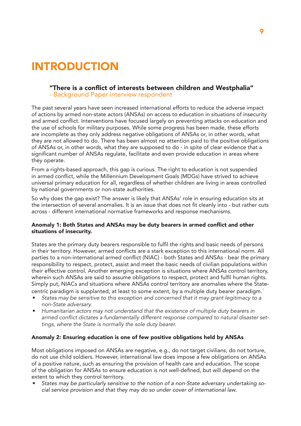# INTRODUCTION

#### "There is a conflict of interests between children and Westphalia"

- Background Paper interview respondent

The past several years have seen increased international efforts to reduce the adverse impact of actions by armed non-state actors (ANSAs) on access to education in situations of insecurity and armed conflict. Interventions have focused largely on preventing attacks on education and the use of schools for military purposes. While some progress has been made, these efforts are incomplete as they only address negative obligations of ANSAs or, in other words, what they are not allowed to do. There has been almost no attention paid to the positive obligations of ANSAs or, in other words, what they are supposed to do - in spite of clear evidence that a significant number of ANSAs regulate, facilitate and even provide education in areas where they operate.

From a rights-based approach, this gap is curious. The right to education is not suspended in armed conflict, while the Millennium Development Goals (MDGs) have strived to achieve universal primary education for all, regardless of whether children are living in areas controlled by national governments or non-state authorities.

So why does the gap exist? The answer is likely that ANSAs' role in ensuring education sits at the intersection of several anomalies. It is an issue that does not fit cleanly into - but rather cuts across - different international normative frameworks and response mechanisms.

#### Anomaly 1: Both States and ANSAs may be duty bearers in armed conflict and other situations of insecurity.

States are the primary duty bearers responsible to fulfil the rights and basic needs of persons in their territory. However, armed conflicts are a stark exception to this international norm. All parties to a non-international armed conflict (NIAC) - both States and ANSAs - bear the primary responsibility to respect, protect, assist and meet the basic needs of civilian populations within their effective control. Another emerging exception is situations where ANSAs control territory, wherein such ANSAs are said to assume obligations to respect, protect and fulfil human rights. Simply put, NIACs and situations where ANSAs control territory are anomalies where the Statecentric paradigm is supplanted, at least to some extent, by a multiple duty bearer paradigm.<sup>1</sup>

- *States may be sensitive to this exception and concerned that it may grant legitimacy to a non-State adversary.*
- *Humanitarian actors may not understand that the existence of multiple duty bearers in*  armed conflict dictates a fundamentally different response compared to natural disaster set*tings, where the State is normally the sole duty bearer.*

#### Anomaly 2: Ensuring education is one of few positive obligations held by ANSAs

Most obligations imposed on ANSAs are negative, e.g., do not target civilians, do not torture, do not use child soldiers. However, international law does impose a few obligations on ANSAs of a positive nature, such as ensuring the provision of health care and education. The scope of the obligation for ANSAs to ensure education is not well-defined, but will depend on the extent to which they control territory.

• *States may be particularly sensitive to the notion of a non-State adversary undertaking social service provision and that they may do so under cover of international law.*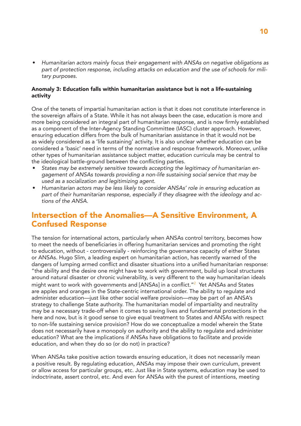• *Humanitarian actors mainly focus their engagement with ANSAs on negative obligations as part of protection response, including attacks on education and the use of schools for military purposes.*

#### Anomaly 3: Education falls within humanitarian assistance but is not a life-sustaining activity

One of the tenets of impartial humanitarian action is that it does not constitute interference in the sovereign affairs of a State. While it has not always been the case, education is more and more being considered an integral part of humanitarian response, and is now firmly established as a component of the Inter-Agency Standing Committee (IASC) cluster approach. However, ensuring education differs from the bulk of humanitarian assistance in that it would not be as widely considered as a 'life sustaining' activity. It is also unclear whether education can be considered a 'basic' need in terms of the normative and response framework. Moreover, unlike other types of humanitarian assistance subject matter, education curricula may be central to the ideological battle-ground between the conflicting parties.

- *States may be extremely sensitive towards accepting the legitimacy of humanitarian engagement of ANSAs towards providing a non-life sustaining social service that may be used as a socialization and legitimizing agent.*
- *Humanitarian actors may be less likely to consider ANSAs' role in ensuring education as part of their humanitarian response, especially if they disagree with the ideology and actions of the ANSA.*

### Intersection of the Anomalies—A Sensitive Environment, A Confused Response

The tension for international actors, particularly when ANSAs control territory, becomes how to meet the needs of beneficiaries in offering humanitarian services and promoting the right to education, without - controversially - reinforcing the governance capacity of either States or ANSAs. Hugo Slim, a leading expert on humanitarian action, has recently warned of the dangers of lumping armed conflict and disaster situations into a unified humanitarian response: "the ability and the desire one might have to work with government, build up local structures around natural disaster or chronic vulnerability, is very different to the way humanitarian ideals might want to work with governments and [ANSAs] in a conflict."<sup>2</sup> Yet ANSAs and States are apples and oranges in the State-centric international order. The ability to regulate and administer education—just like other social welfare provision—may be part of an ANSA's strategy to challenge State authority. The humanitarian model of impartiality and neutrality may be a necessary trade-off when it comes to saving lives and fundamental protections in the here and now, but is it good sense to give equal treatment to States and ANSAs with respect to non-life sustaining service provision? How do we conceptualize a model wherein the State does not necessarily have a monopoly on authority and the ability to regulate and administer education? What are the implications if ANSAs have obligations to facilitate and provide education, and when they do so (or do not) in practice?

When ANSAs take positive action towards ensuring education, it does not necessarily mean a positive result. By regulating education, ANSAs may impose their own curriculum, prevent or allow access for particular groups, etc. Just like in State systems, education may be used to indoctrinate, assert control, etc. And even for ANSAs with the purest of intentions, meeting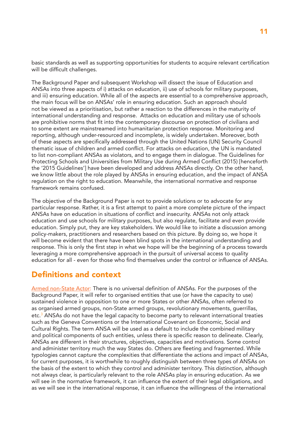basic standards as well as supporting opportunities for students to acquire relevant certification will be difficult challenges.

The Background Paper and subsequent Workshop will dissect the issue of Education and ANSAs into three aspects of i) attacks on education, ii) use of schools for military purposes, and iii) ensuring education. While all of the aspects are essential to a comprehensive approach, the main focus will be on ANSAs' role in ensuring education. Such an approach should not be viewed as a prioritisation, but rather a reaction to the differences in the maturity of international understanding and response. Attacks on education and military use of schools are prohibitive norms that fit into the contemporary discourse on protection of civilians and to some extent are mainstreamed into humanitarian protection response. Monitoring and reporting, although under-resourced and incomplete, is widely undertaken. Moreover, both of these aspects are specifically addressed through the United Nations (UN) Security Council thematic issue of children and armed conflict. For attacks on education, the UN is mandated to list non-compliant ANSAs as violators, and to engage them in dialogue. The Guidelines for Protecting Schools and Universities from Military Use during Armed Conflict (2015) [henceforth the '2015 Guidelines'] have been developed and address ANSAs directly. On the other hand, we know little about the role played by ANSAs in ensuring education, and the impact of ANSA regulation on the right to education. Meanwhile, the international normative and response framework remains confused.

The objective of the Background Paper is not to provide solutions or to advocate for any particular response. Rather, it is a first attempt to paint a more complete picture of the impact ANSAs have on education in situations of conflict and insecurity. ANSAs not only attack education and use schools for military purposes, but also regulate, facilitate and even provide education. Simply put, they are key stakeholders. We would like to initiate a discussion among policy-makers, practitioners and researchers based on this picture. By doing so, we hope it will become evident that there have been blind spots in the international understanding and response. This is only the first step in what we hope will be the beginning of a process towards leveraging a more comprehensive approach in the pursuit of universal access to quality education for all - even for those who find themselves under the control or influence of ANSAs.

### Definitions and context

Armed non-State Actor: There is no universal definition of ANSAs. For the purposes of the Background Paper, it will refer to organised entities that use (or have the capacity to use) sustained violence in opposition to one or more States or other ANSAs, often referred to as organised armed groups, non-State armed groups, revolutionary movements, guerrillas, etc.<sup>3</sup> ANSAs do not have the legal capacity to become party to relevant international treaties such as the Geneva Conventions or the International Covenant on Economic, Social and Cultural Rights. The term ANSA will be used as a default to include the combined military and political components of such entities, unless there is specific reason to delineate. Clearly, ANSAs are different in their structures, objectives, capacities and motivations. Some control and administer territory much the way States do. Others are fleeting and fragmented. While typologies cannot capture the complexities that differentiate the actions and impact of ANSAs, for current purposes, it is worthwhile to roughly distinguish between three types of ANSAs on the basis of the extent to which they control and administer territory. This distinction, although not always clear, is particularly relevant to the role ANSAs play in ensuring education. As we will see in the normative framework, it can influence the extent of their legal obligations, and as we will see in the international response, it can influence the willingness of the international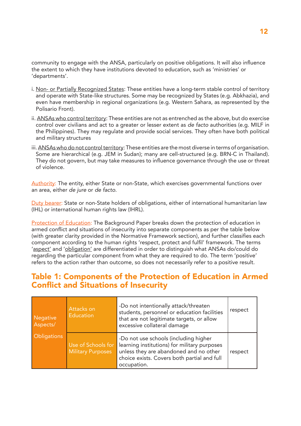community to engage with the ANSA, particularly on positive obligations. It will also influence the extent to which they have institutions devoted to education, such as 'ministries' or 'departments'.

- i. Non- or Partially Recognized States: These entities have a long-term stable control of territory and operate with State-like structures. Some may be recognized by States (e.g. Abkhazia), and even have membership in regional organizations (e.g. Western Sahara, as represented by the Polisario Front).
- ii. ANSAs who control territory: These entities are not as entrenched as the above, but do exercise control over civilians and act to a greater or lesser extent as *de facto* authorities (e.g. MILF in the Philippines). They may regulate and provide social services. They often have both political and military structures
- iii. ANSAs who do not control territory: These entities are the most diverse in terms of organisation. Some are hierarchical (e.g. JEM in Sudan); many are cell-structured (e.g. BRN-C in Thailand). They do not govern, but may take measures to influence governance through the use or threat of violence.

Authority: The entity, either State or non-State, which exercises governmental functions over an area, either *de jure* or *de facto*.

Duty bearer: State or non-State holders of obligations, either of international humanitarian law (IHL) or international human rights law (IHRL).

Protection of Education: The Background Paper breaks down the protection of education in armed conflict and situations of insecurity into separate components as per the table below (with greater clarity provided in the Normative Framework section), and further classifies each component according to the human rights 'respect, protect and fulfil' framework. The terms 'aspect' and 'obligation' are differentiated in order to distinguish what ANSAs do/could do regarding the particular component from what they are required to do. The term 'positive' refers to the action rather than outcome, so does not necessarily refer to a positive result.

### Table 1: Components of the Protection of Education in Armed Conflict and Situations of Insecurity

| Negative<br>Aspects/ | Attacks on<br><b>Education</b>                 | -Do not intentionally attack/threaten<br>students, personnel or education facilities<br>that are not legitimate targets, or allow<br>excessive collateral damage                              | respect |
|----------------------|------------------------------------------------|-----------------------------------------------------------------------------------------------------------------------------------------------------------------------------------------------|---------|
| <b>Obligations</b>   | Use of Schools for<br><b>Military Purposes</b> | -Do not use schools (including higher<br>learning institutions) for military purposes<br>unless they are abandoned and no other<br>choice exists. Covers both partial and full<br>occupation. | respect |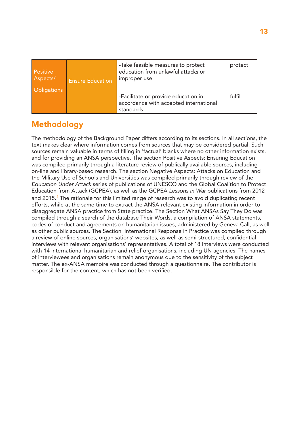| Positive<br>Aspects/<br><b>Obligations</b> | <b>Ensure Education</b> | -Take feasible measures to protect<br>education from unlawful attacks or<br>improper use   | protect |
|--------------------------------------------|-------------------------|--------------------------------------------------------------------------------------------|---------|
|                                            |                         | -Facilitate or provide education in<br>accordance with accepted international<br>standards | fulfil  |

## Methodology

The methodology of the Background Paper differs according to its sections. In all sections, the text makes clear where information comes from sources that may be considered partial. Such sources remain valuable in terms of filling in 'factual' blanks where no other information exists, and for providing an ANSA perspective. The section Positive Aspects: Ensuring Education was compiled primarily through a literature review of publically available sources, including on-line and library-based research. The section Negative Aspects: Attacks on Education and the Military Use of Schools and Universities was compiled primarily through review of the *Education Under Attack* series of publications of UNESCO and the Global Coalition to Protect Education from Attack (GCPEA), as well as the GCPEA *Lessons in War* publications from 2012 and 2015.<sup>4</sup> The rationale for this limited range of research was to avoid duplicating recent efforts, while at the same time to extract the ANSA-relevant existing information in order to disaggregate ANSA practice from State practice. The Section What ANSAs Say They Do was compiled through a search of the database Their Words, a compilation of ANSA statements, codes of conduct and agreements on humanitarian issues, administered by Geneva Call, as well as other public sources. The Section International Response in Practice was compiled through a review of online sources, organisations' websites, as well as semi-structured, confidential interviews with relevant organisations' representatives. A total of 18 interviews were conducted with 14 international humanitarian and relief organisations, including UN agencies. The names of interviewees and organisations remain anonymous due to the sensitivity of the subject matter. The ex-ANSA memoire was conducted through a questionnaire. The contributor is responsible for the content, which has not been verified.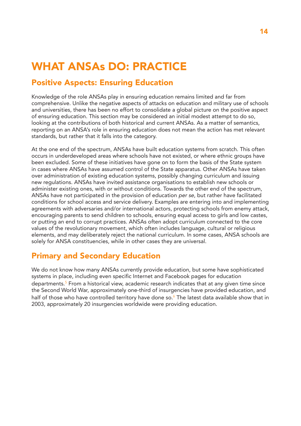# WHAT ANSAs DO: PRACTICE

## Positive Aspects: Ensuring Education

Knowledge of the role ANSAs play in ensuring education remains limited and far from comprehensive. Unlike the negative aspects of attacks on education and military use of schools and universities, there has been no effort to consolidate a global picture on the positive aspect of ensuring education. This section may be considered an initial modest attempt to do so, looking at the contributions of both historical and current ANSAs. As a matter of semantics, reporting on an ANSA's role in ensuring education does not mean the action has met relevant standards, but rather that it falls into the category.

At the one end of the spectrum, ANSAs have built education systems from scratch. This often occurs in underdeveloped areas where schools have not existed, or where ethnic groups have been excluded. Some of these initiatives have gone on to form the basis of the State system in cases where ANSAs have assumed control of the State apparatus. Other ANSAs have taken over administration of existing education systems, possibly changing curriculum and issuing new regulations. ANSAs have invited assistance organisations to establish new schools or administer existing ones, with or without conditions. Towards the other end of the spectrum, ANSAs have not participated in the provision of education *per se*, but rather have facilitated conditions for school access and service delivery. Examples are entering into and implementing agreements with adversaries and/or international actors, protecting schools from enemy attack, encouraging parents to send children to schools, ensuring equal access to girls and low castes, or putting an end to corrupt practices. ANSAs often adopt curriculum connected to the core values of the revolutionary movement, which often includes language, cultural or religious elements, and may deliberately reject the national curriculum. In some cases, ANSA schools are solely for ANSA constituencies, while in other cases they are universal.

## Primary and Secondary Education

We do not know how many ANSAs currently provide education, but some have sophisticated systems in place, including even specific Internet and Facebook pages for education departments.<sup>5</sup> From a historical view, academic research indicates that at any given time since the Second World War, approximately one-third of insurgencies have provided education, and half of those who have controlled territory have done so.<sup>6</sup> The latest data available show that in 2003, approximately 20 insurgencies worldwide were providing education.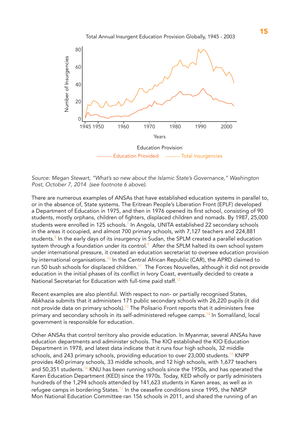

*Source: Megan Stewart, "What's so new about the Islamic State's Governance," Washington Post, October 7, 2014 (see footnote 6 above).* 

There are numerous examples of ANSAs that have established education systems in parallel to, or in the absence of, State systems. The Eritrean People's Liberation Front (EPLF) developed a Department of Education in 1975, and then in 1976 opened its first school, consisting of 90 students, mostly orphans, children of fighters, displaced children and nomads. By 1987, 25,000 students were enrolled in 125 schools.<sup>7</sup> In Angola, UNITA established 22 secondary schools in the areas it occupied, and almost 700 primary schools, with 7,127 teachers and 224,881 students.<sup>8</sup> In the early days of its insurgency in Sudan, the SPLM created a parallel education system through a foundation under its control. $^9\,$  After the SPLM halted its own school system under international pressure, it created an education secretariat to oversee education provision by international organisations.<sup>10</sup> In the Central African Republic (CAR), the APRD claimed to run 50 bush schools for displaced children.<sup>11</sup> The Forces Nouvelles, although it did not provide education in the initial phases of its conflict in Ivory Coast, eventually decided to create a National Secretariat for Education with full-time paid staff.<sup>12</sup>

Recent examples are also plentiful. With respect to non- or partially recognised States, Abkhazia submits that it administers 171 public secondary schools with 26,220 pupils (it did not provide data on primary schools).<sup>13</sup> The Polisario Front reports that it administers free primary and secondary schools in its self-administered refugee camps.<sup>14</sup> In Somaliland, local government is responsible for education.

Other ANSAs that control territory also provide education. In Myanmar, several ANSAs have education departments and administer schools. The KIO established the KIO Education Department in 1978, and latest data indicate that it runs four high schools, 32 middle schools, and 243 primary schools, providing education to over 23,000 students.<sup>15</sup> KNPP provides 460 primary schools, 33 middle schools, and 12 high schools, with 1,677 teachers and 50,351 students.<sup>16</sup> KNU has been running schools since the 1950s, and has operated the Karen Education Department (KED) since the 1970s. Today, KED wholly or partly administers hundreds of the 1,294 schools attended by 141,623 students in Karen areas, as well as in refugee camps in bordering States.<sup>17</sup> In the ceasefire conditions since 1995, the NMSP Mon National Education Committee ran 156 schools in 2011, and shared the running of an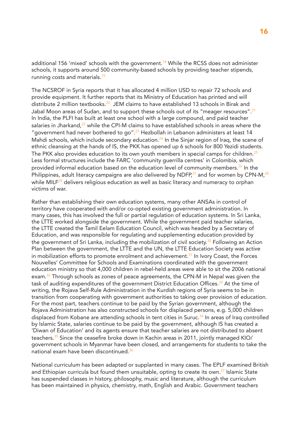additional 156 'mixed' schools with the government.<sup>18</sup> While the RCSS does not administer schools, it supports around 500 community-based schools by providing teacher stipends, running costs and materials.<sup>19</sup>

The NCSROF in Syria reports that it has allocated 4 million USD to repair 72 schools and provide equipment. It further reports that its Ministry of Education has printed and will distribute 2 million textbooks.<sup>20</sup> JEM claims to have established 13 schools in Birak and Jabal Moon areas of Sudan, and to support these schools out of its "meager resources".<sup>21</sup> In India, the PLFI has built at least one school with a large compound, and paid teacher salaries in Jharkand, $22$  while the CPI-M claims to have established schools in areas where the "government had never bothered to go".<sup>23</sup> Hezbollah in Lebanon administers at least 14 Mahdi schools, which include secondary education.<sup>24</sup> In the Sinjar region of Iraq, the scene of ethnic cleansing at the hands of IS, the PKK has opened up 6 schools for 800 Yezidi students. The PKK also provides education to its own youth members in special camps for children.<sup>25</sup> Less formal structures include the FARC 'community guerrilla centres' in Colombia, which provided informal education based on the education level of community members.<sup>26</sup> In the Philippines, adult literacy campaigns are also delivered by NDFP,<sup>27</sup> and for women by CPN-M,<sup>28</sup> while MILF<sup>29</sup> delivers religious education as well as basic literacy and numeracy to orphan victims of war.

Rather than establishing their own education systems, many other ANSAs in control of territory have cooperated with and/or co-opted existing government administration. In many cases, this has involved the full or partial regulation of education systems. In Sri Lanka, the LTTE worked alongside the government. While the government paid teacher salaries, the LTTE created the Tamil Eelam Education Council, which was headed by a Secretary of Education, and was responsible for regulating and supplementing education provided by the government of Sri Lanka, including the mobilization of civil society.<sup>30</sup> Following an Action Plan between the government, the LTTE and the UN, the LTTE Education Society was active in mobilization efforts to promote enrolment and achievement.<sup>31</sup> In Ivory Coast, the Forces Nouvelles' Committee for Schools and Examinations coordinated with the government education ministry so that 4,000 children in rebel-held areas were able to sit the 2006 national exam.<sup>32</sup> Through schools as zones of peace agreements, the CPN-M in Nepal was given the task of auditing expenditures of the government District Education Offices.<sup>33</sup> At the time of writing, the Rojava Self-Rule Administration in the Kurdish regions of Syria seems to be in transition from cooperating with government authorities to taking over provision of education. For the most part, teachers continue to be paid by the Syrian government, although the Rojava Administration has also constructed schools for displaced persons, e.g. 5,000 children displaced from Kobane are attending schools in tent cities in Suruc.<sup>34</sup> In areas of Iraq controlled by Islamic State, salaries continue to be paid by the government, although IS has created a 'Diwan of Education' and its agents ensure that teacher salaries are not distributed to absent teachers.<sup>35</sup> Since the ceasefire broke down in Kachin areas in 2011, jointly managed KIO/ government schools in Myanmar have been closed, and arrangements for students to take the national exam have been discontinued.<sup>36</sup>

National curriculum has been adapted or supplanted in many cases. The EPLF examined British and Ethiopian curricula but found them unsuitable, opting to create its own. $37$  Islamic State has suspended classes in history, philosophy, music and literature, although the curriculum has been maintained in physics, chemistry, math, English and Arabic. Government teachers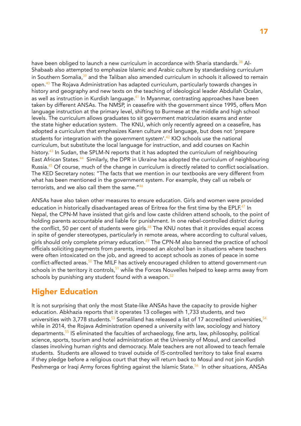have been obliged to launch a new curriculum in accordance with Sharia standards.<sup>38</sup> Al-Shabaab also attempted to emphasize Islamic and Arabic culture by standardising curriculum in Southern Somalia, $39$  and the Taliban also amended curriculum in schools it allowed to remain open.<sup>40</sup> The Rojava Administration has adapted curriculum, particularly towards changes in history and geography and new texts on the teaching of ideological leader Abdullah Ocalan, as well as instruction in Kurdish language.<sup>41</sup> In Myanmar, contrasting approaches have been taken by different ANSAs. The NMSP, in ceasefire with the government since 1995, offers Mon language instruction at the primary level, shifting to Burmese at the middle and high school levels. The curriculum allows graduates to sit government matriculation exams and enter the state higher education system. The KNU, which only recently agreed on a ceasefire, has adopted a curriculum that emphasizes Karen culture and language, but does not 'prepare students for integration with the government system'.<sup>42</sup> KIO schools use the national curriculum, but substitute the local language for instruction, and add courses on Kachin history.<sup>43</sup> In Sudan, the SPLM-N reports that it has adopted the curriculum of neighbouring East African States.<sup>44</sup> Similarly, the DPR in Ukraine has adopted the curriculum of neighbouring Russia.<sup>45</sup> Of course, much of the change in curriculum is directly related to conflict socialisation. The KED Secretary notes: "The facts that we mention in our textbooks are very different from what has been mentioned in the government system. For example, they call us rebels or terrorists, and we also call them the same."<sup>46</sup>

ANSAs have also taken other measures to ensure education. Girls and women were provided education in historically disadvantaged areas of Eritrea for the first time by the EPLF.<sup>47</sup> In Nepal, the CPN-M have insisted that girls and low caste children attend schools, to the point of holding parents accountable and liable for punishment. In one rebel-controlled district during the conflict, 50 per cent of students were girls. $48$  The KNU notes that it provides equal access in spite of gender stereotypes, particularly in remote areas, where according to cultural values, girls should only complete primary education.<sup>49</sup> The CPN-M also banned the practice of school officials soliciting payments from parents, imposed an alcohol ban in situations where teachers were often intoxicated on the job, and agreed to accept schools as zones of peace in some conflict-affected areas.<sup>50</sup> The MILF has actively encouraged children to attend government-run schools in the territory it controls,  $51$  while the Forces Nouvelles helped to keep arms away from schools by punishing any student found with a weapon. $52$ 

### Higher Education

It is not surprising that only the most State-like ANSAs have the capacity to provide higher education. Abkhazia reports that it operates 13 colleges with 1,733 students, and two universities with 3,778 students.<sup>53</sup> Somaliland has released a list of 17 accredited universities.<sup>54</sup> while in 2014, the Rojava Administration opened a university with law, sociology and history departments.<sup>55</sup> IS eliminated the faculties of archaeology, fine arts, law, philosophy, political science, sports, tourism and hotel administration at the University of Mosul, and cancelled classes involving human rights and democracy. Male teachers are not allowed to teach female students. Students are allowed to travel outside of IS-controlled territory to take final exams if they pledge before a religious court that they will return back to Mosul and not join Kurdish Peshmerga or Iraqi Army forces fighting against the Islamic State.<sup>56</sup> In other situations, ANSAs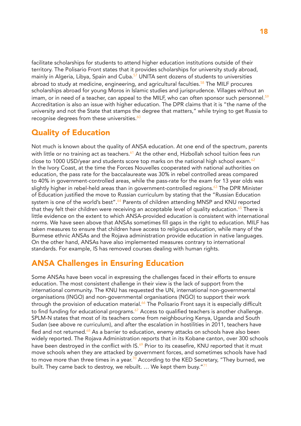facilitate scholarships for students to attend higher education institutions outside of their territory. The Polisario Front states that it provides scholarships for university study abroad, mainly in Algeria, Libya, Spain and Cuba.<sup>57</sup> UNITA sent dozens of students to universities abroad to study at medicine, engineering, and agricultural faculties.<sup>58</sup> The MILF procures scholarships abroad for young Moros in Islamic studies and jurisprudence. Villages without an imam, or in need of a teacher, can appeal to the MILF, who can often sponsor such personnel.<sup>59</sup> Accreditation is also an issue with higher education. The DPR claims that it is "the name of the university and not the State that stamps the degree that matters," while trying to get Russia to recognise degrees from these universities.<sup>60</sup>

## Quality of Education

Not much is known about the quality of ANSA education. At one end of the spectrum, parents with little or no training act as teachers.<sup>61</sup> At the other end, Hizbollah school tuition fees run close to 1000 USD/year and students score top marks on the national high school exam. $62$ In the Ivory Coast, at the time the Forces Nouvelles cooperated with national authorities on education, the pass rate for the baccalaureate was 30% in rebel controlled areas compared to 40% in government-controlled areas, while the pass-rate for the exam for 13 year olds was slightly higher in rebel-held areas than in government-controlled regions.<sup>63</sup> The DPR Minister of Education justified the move to Russian curriculum by stating that the "Russian Education system is one of the world's best".<sup>64</sup> Parents of children attending MNSP and KNU reported that they felt their children were receiving an acceptable level of quality education.<sup>65</sup> There is little evidence on the extent to which ANSA-provided education is consistent with international norms. We have seen above that ANSAs sometimes fill gaps in the right to education. MILF has taken measures to ensure that children have access to religious education, while many of the Burmese ethnic ANSAs and the Rojava administration provide education in native languages. On the other hand, ANSAs have also implemented measures contrary to international standards. For example, IS has removed courses dealing with human rights.

## ANSA Challenges in Ensuring Education

Some ANSAs have been vocal in expressing the challenges faced in their efforts to ensure education. The most consistent challenge in their view is the lack of support from the international community. The KNU has requested the UN, international non-governmental organisations (INGO) and non-governmental organisations (NGO) to support their work through the provision of education material.<sup>66</sup> The Polisario Front says it is especially difficult to find funding for educational programs.<sup>67</sup> Access to qualified teachers is another challenge. SPLM-N states that most of its teachers come from neighbouring Kenya, Uganda and South Sudan (see above re curriculum), and after the escalation in hostilities in 2011, teachers have fled and not returned.<sup>68</sup> As a barrier to education, enemy attacks on schools have also been widely reported. The Rojava Administration reports that in its Kobane canton, over 300 schools have been destroyed in the conflict with  $IS<sup>69</sup>$  Prior to its ceasefire, KNU reported that it must move schools when they are attacked by government forces, and sometimes schools have had to move more than three times in a year.<sup>70</sup> According to the KED Secretary, "They burned, we built. They came back to destroy, we rebuilt.  $\ldots$  We kept them busy."<sup>71</sup>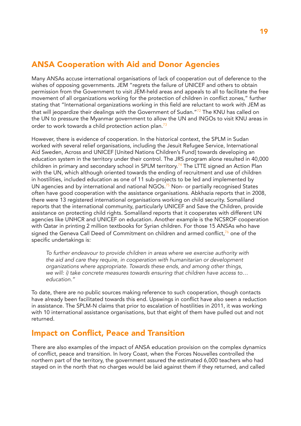## ANSA Cooperation with Aid and Donor Agencies

Many ANSAs accuse international organisations of lack of cooperation out of deference to the wishes of opposing governments. JEM "regrets the failure of UNICEF and others to obtain permission from the Government to visit JEM-held areas and appeals to all to facilitate the free movement of all organizations working for the protection of children in conflict zones," further stating that "International organizations working in this field are reluctant to work with JEM as that will jeopardize their dealings with the Government of Sudan." $72$  The KNU has called on the UN to pressure the Myanmar government to allow the UN and INGOs to visit KNU areas in order to work towards a child protection action plan. $73$ 

However, there is evidence of cooperation. In the historical context, the SPLM in Sudan worked with several relief organisations, including the Jesuit Refugee Service, International Aid Sweden, Across and UNICEF [United Nations Children's Fund] towards developing an education system in the territory under their control. The JRS program alone resulted in 40,000 children in primary and secondary school in SPLM territory.<sup>74</sup> The LTTE signed an Action Plan with the UN, which although oriented towards the ending of recruitment and use of children in hostilities, included education as one of 11 sub-projects to be led and implemented by UN agencies and by international and national NGOs.<sup>75</sup> Non- or partially recognised States often have good cooperation with the assistance organisations. Abkhazia reports that in 2008, there were 13 registered international organisations working on child security. Somaliland reports that the international community, particularly UNICEF and Save the Children, provide assistance on protecting child rights. Somaliland reports that it cooperates with different UN agencies like UNHCR and UNICEF on education. Another example is the NCSROF cooperation with Qatar in printing 2 million textbooks for Syrian children. For those 15 ANSAs who have signed the Geneva Call Deed of Commitment on children and armed conflict, $76$  one of the specific undertakings is:

*To further endeavour to provide children in areas where we exercise authority with the aid and care they require, in cooperation with humanitarian or development organizations where appropriate. Towards these ends, and among other things, we will: i) take concrete measures towards ensuring that children have access to… education."*

To date, there are no public sources making reference to such cooperation, though contacts have already been facilitated towards this end. Upswings in conflict have also seen a reduction in assistance. The SPLM-N claims that prior to escalation of hostilities in 2011, it was working with 10 international assistance organisations, but that eight of them have pulled out and not returned.

## Impact on Conflict, Peace and Transition

There are also examples of the impact of ANSA education provision on the complex dynamics of conflict, peace and transition. In Ivory Coast, when the Forces Nouvelles controlled the northern part of the territory, the government assured the estimated 6,000 teachers who had stayed on in the north that no charges would be laid against them if they returned, and called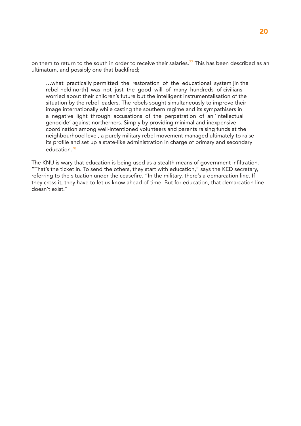on them to return to the south in order to receive their salaries.<sup>77</sup> This has been described as an ultimatum, and possibly one that backfired;

…what practically permitted the restoration of the educational system [in the rebel-held north] was not just the good will of many hundreds of civilians worried about their children's future but the intelligent instrumentalisation of the situation by the rebel leaders. The rebels sought simultaneously to improve their image internationally while casting the southern regime and its sympathisers in a negative light through accusations of the perpetration of an 'intellectual genocide' against northerners. Simply by providing minimal and inexpensive coordination among well-intentioned volunteers and parents raising funds at the neighbourhood level, a purely military rebel movement managed ultimately to raise its profile and set up a state-like administration in charge of primary and secondary education<sup>78</sup>

The KNU is wary that education is being used as a stealth means of government infiltration. "That's the ticket in. To send the others, they start with education," says the KED secretary, referring to the situation under the ceasefire. "In the military, there's a demarcation line. If they cross it, they have to let us know ahead of time. But for education, that demarcation line doesn't exist."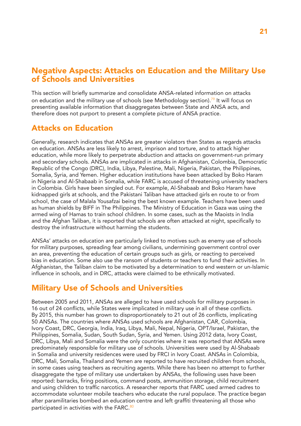### Negative Aspects: Attacks on Education and the Military Use of Schools and Universities

This section will briefly summarize and consolidate ANSA-related information on attacks on education and the military use of schools (see Methodology section).<sup>79</sup> It will focus on presenting available information that disaggregates between State and ANSA acts, and therefore does not purport to present a complete picture of ANSA practice.

### Attacks on Education

Generally, research indicates that ANSAs are greater violators than States as regards attacks on education. ANSAs are less likely to arrest, imprison and torture, and to attack higher education, while more likely to perpetrate abduction and attacks on government-run primary and secondary schools. ANSAs are implicated in attacks in Afghanistan, Colombia, Democratic Republic of the Congo (DRC), India, Libya, Palestine, Mali, Nigeria, Pakistan, the Philippines, Somalia, Syria, and Yemen. Higher education institutions have been attacked by Boko Haram in Nigeria and Al-Shabaab in Somalia, while FARC is accused of threatening university teachers in Colombia. Girls have been singled out. For example, Al-Shabaab and Boko Haram have kidnapped girls at schools, and the Pakistani Taliban have attacked girls en route to or from school, the case of Malala Yousafzai being the best known example. Teachers have been used as human shields by BIFF in The Philippines. The Ministry of Education in Gaza was using the armed wing of Hamas to train school children. In some cases, such as the Maoists in India and the Afghan Taliban, it is reported that schools are often attacked at night, specifically to destroy the infrastructure without harming the students.

ANSAs' attacks on education are particularly linked to motives such as enemy use of schools for military purposes, spreading fear among civilians, undermining government control over an area, preventing the education of certain groups such as girls, or reacting to perceived bias in education. Some also use the ransom of students or teachers to fund their activities. In Afghanistan, the Taliban claim to be motivated by a determination to end western or un-Islamic influence in schools, and in DRC, attacks were claimed to be ethnically motivated.

## Military Use of Schools and Universities

Between 2005 and 2011, ANSAs are alleged to have used schools for military purposes in 16 out of 24 conflicts, while States were implicated in military use in all of these conflicts. By 2015, this number has grown to disproportionately to 21 out of 26 conflicts, implicating 50 ANSAs. The countries where ANSAs used schools are Afghanistan, CAR, Colombia, Ivory Coast, DRC, Georgia, India, Iraq, Libya, Mali, Nepal, Nigeria, OPT/Israel, Pakistan, the Philippines, Somalia, Sudan, South Sudan, Syria, and Yemen. Using 2012 data, Ivory Coast, DRC, Libya, Mali and Somalia were the only countries where it was reported that ANSAs were predominately responsible for military use of schools. Universities were used by Al-Shabaab in Somalia and university residences were used by FRCI in Ivory Coast. ANSAs in Colombia, DRC, Mali, Somalia, Thailand and Yemen are reported to have recruited children from schools, in some cases using teachers as recruiting agents. While there has been no attempt to further disaggregate the type of military use undertaken by ANSAs, the following uses have been reported: barracks, firing positions, command posts, ammunition storage, child recruitment and using children to traffic narcotics. A researcher reports that FARC used armed cadres to accommodate volunteer mobile teachers who educate the rural populace. The practice began after paramilitaries bombed an education centre and left graffiti threatening all those who participated in activities with the FARC.<sup>80</sup>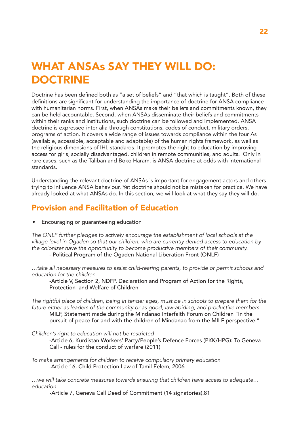# WHAT ANSAs SAY THEY WILL DO: DOCTRINE

Doctrine has been defined both as "a set of beliefs" and "that which is taught". Both of these definitions are significant for understanding the importance of doctrine for ANSA compliance with humanitarian norms. First, when ANSAs make their beliefs and commitments known, they can be held accountable. Second, when ANSAs disseminate their beliefs and commitments within their ranks and institutions, such doctrine can be followed and implemented. ANSA doctrine is expressed inter alia through constitutions, codes of conduct, military orders, programs of action. It covers a wide range of issues towards compliance within the four As (available, accessible, acceptable and adaptable) of the human rights framework, as well as the religious dimensions of IHL standards. It promotes the right to education by improving access for girls, socially disadvantaged, children in remote communities, and adults. Only in rare cases, such as the Taliban and Boko Haram, is ANSA doctrine at odds with international standards.

Understanding the relevant doctrine of ANSAs is important for engagement actors and others trying to influence ANSA behaviour. Yet doctrine should not be mistaken for practice. We have already looked at what ANSAs do. In this section, we will look at what they say they will do.

## Provision and Facilitation of Education

• Encouraging or guaranteeing education

*The ONLF further pledges to actively encourage the establishment of local schools at the village level in Ogaden so that our children, who are currently denied access to education by the colonizer have the opportunity to become productive members of their community.* 

- Political Program of the Ogaden National Liberation Front (ONLF)

*…take all necessary measures to assist child-rearing parents, to provide or permit schools and education for the children*

-Article V, Section 2, NDFP, Declaration and Program of Action for the Rights, Protection and Welfare of Children

*The rightful place of children, being in tender ages, must be in schools to prepare them for the future either as leaders of the community or as good, law-abiding, and productive members.*

MILF, Statement made during the Mindanao Interfaith Forum on Children "In the pursuit of peace for and with the children of Mindanao from the MILF perspective."

*Children's right to education will not be restricted*

-Article 6, Kurdistan Workers' Party/People's Defence Forces (PKK/HPG): To Geneva Call - rules for the conduct of warfare (2011)

*To make arrangements for children to receive compulsory primary education* -Article 16, Child Protection Law of Tamil Eelem, 2006

*…we will take concrete measures towards ensuring that children have access to adequate… education.*

-Article 7, Geneva Call Deed of Commitment (14 signatories).81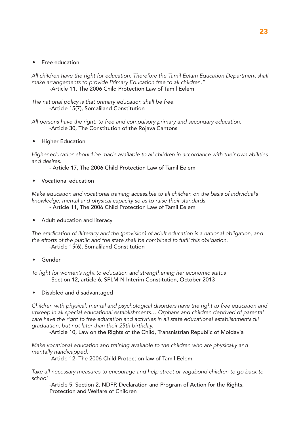#### • Free education

*All children have the right for education. Therefore the Tamil Eelam Education Department shall make arrangements to provide Primary Education free to all children."* -Article 11, The 2006 Child Protection Law of Tamil Eelem

*The national policy is that primary education shall be free.* -Article 15(7), Somaliland Constitution

*All persons have the right: to free and compulsory primary and secondary education.* -Article 30, The Constitution of the Rojava Cantons

• Higher Education

*Higher education should be made available to all children in accordance with their own abilities and desires.*

- Article 17, The 2006 Child Protection Law of Tamil Eelem

• Vocational education

*Make education and vocational training accessible to all children on the basis of individual's knowledge, mental and physical capacity so as to raise their standards.* 

- Article 11, The 2006 Child Protection Law of Tamil Eelem

• Adult education and literacy

*The eradication of illiteracy and the (provision) of adult education is a national obligation, and*  the efforts of the public and the state shall be combined to fulfil this obligation. -Article 15(6), Somaliland Constitution

**Gender** 

To fight for women's right to education and strengthening her economic status -Section 12, article 6, SPLM-N Interim Constitution, October 2013

• Disabled and disadvantaged

*Children with physical, mental and psychological disorders have the right to free education and*  upkeep in all special educational establishments... Orphans and children deprived of parental *care have the right to free education and activities in all state educational establishments till graduation, but not later than their 25th birthday.*

-Article 10, Law on the Rights of the Child, Transnistrian Republic of Moldavia

*Make vocational education and training available to the children who are physically and mentally handicapped.* 

-Article 12, The 2006 Child Protection law of Tamil Eelem

*Take all necessary measures to encourage and help street or vagabond children to go back to school*

-Article 5, Section 2, NDFP, Declaration and Program of Action for the Rights, Protection and Welfare of Children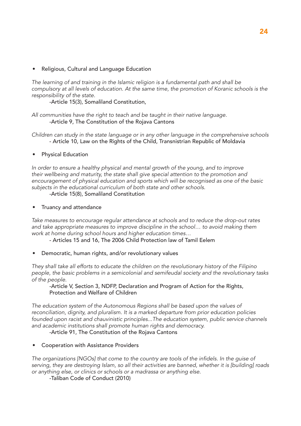• Religious, Cultural and Language Education

*The learning of and training in the Islamic religion is a fundamental path and shall be compulsory at all levels of education. At the same time, the promotion of Koranic schools is the responsibility of the state.*

-Article 15(3), Somaliland Constitution,

*All communities have the right to teach and be taught in their native language.* -Article 9, The Constitution of the Rojava Cantons

*Children can study in the state language or in any other language in the comprehensive schools* - Article 10, Law on the Rights of the Child, Transnistrian Republic of Moldavia

• Physical Education

*In order to ensure a healthy physical and mental growth of the young, and to improve their wellbeing and maturity, the state shall give special attention to the promotion and encouragement of physical education and sports which will be recognised as one of the basic subjects in the educational curriculum of both state and other schools.* 

-Article 15(8), Somaliland Constitution

• Truancy and attendance

*Take measures to encourage regular attendance at schools and to reduce the drop-out rates*  and take appropriate measures to improve discipline in the school... to avoid making them *work at home during school hours and higher education times…*

- Articles 15 and 16, The 2006 Child Protection law of Tamil Eelem

• Democratic, human rights, and/or revolutionary values

*They shall take all efforts to educate the children on the revolutionary history of the Filipino people, the basic problems in a semicolonial and semifeudal society and the revolutionary tasks of the people.*

-Article V, Section 3, NDFP, Declaration and Program of Action for the Rights, Protection and Welfare of Children

*The education system of the Autonomous Regions shall be based upon the values of reconciliation, dignity, and pluralism. It is a marked departure from prior education policies founded upon racist and chauvinistic principles...The education system, public service channels and academic institutions shall promote human rights and democracy.*

-Article 91, The Constitution of the Rojava Cantons

• Cooperation with Assistance Providers

The organizations [NGOs] that come to the country are tools of the infidels. In the guise of *serving, they are destroying Islam, so all their activities are banned, whether it is [building] roads or anything else, or clinics or schools or a madrassa or anything else.*

-Taliban Code of Conduct (2010)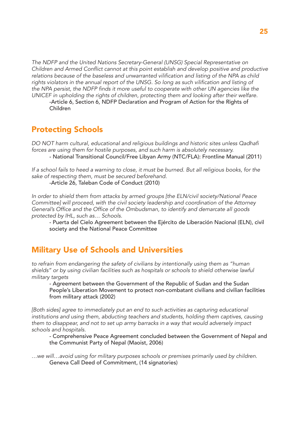*The NDFP and the United Nations Secretary-General (UNSG) Special Representative on*  Children and Armed Conflict cannot at this point establish and develop positive and productive relations because of the baseless and unwarranted vilification and listing of the NPA as child rights violators in the annual report of the UNSG. So long as such vilification and listing of the NPA persist, the NDFP finds it more useful to cooperate with other UN agencies like the *UNICEF in upholding the rights of children, protecting them and looking after their welfare.*

-Article 6, Section 6, NDFP Declaration and Program of Action for the Rights of Children

### Protecting Schools

DO NOT harm cultural, educational and religious buildings and historic sites unless Qadhafi *forces are using them for hostile purposes, and such harm is absolutely necessary.*

- National Transitional Council/Free Libyan Army (NTC/FLA): Frontline Manual (2011)

*If a school fails to heed a warning to close, it must be burned. But all religious books, for the sake of respecting them, must be secured beforehand.* -Article 26, Taleban Code of Conduct (2010)

*In order to shield them from attacks by armed groups [the ELN/civil society/National Peace Committee] will proceed, with the civil society leadership and coordination of the Attorney*  General's Office and the Office of the Ombudsman, to identify and demarcate all goods *protected by IHL, such as… Schools.*

- Puerta del Cielo Agreement between the Ejército de Liberación Nacional (ELN), civil society and the National Peace Committee

## Military Use of Schools and Universities

*to refrain from endangering the safety of civilians by intentionally using them as "human shields" or by using civilian facilities such as hospitals or schools to shield otherwise lawful military targets*

- Agreement between the Government of the Republic of Sudan and the Sudan People's Liberation Movement to protect non-combatant civilians and civilian facilities from military attack (2002)

*[Both sides] agree to immediately put an end to such activities as capturing educational institutions and using them, abducting teachers and students, holding them captives, causing them to disappear, and not to set up army barracks in a way that would adversely impact schools and hospitals.*

- Comprehensive Peace Agreement concluded between the Government of Nepal and the Communist Party of Nepal (Maoist, 2006)

*…we will…avoid using for military purposes schools or premises primarily used by children.*  Geneva Call Deed of Commitment, (14 signatories)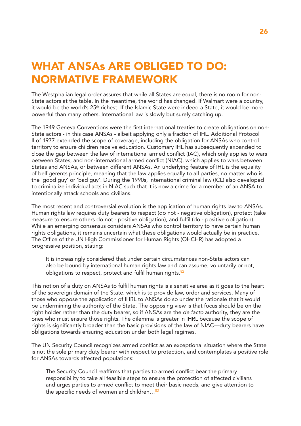# WHAT ANSAs ARE OBLIGED TO DO: NORMATIVE FRAMEWORK

The Westphalian legal order assures that while all States are equal, there is no room for non-State actors at the table. In the meantime, the world has changed. If Walmart were a country, it would be the world's 25<sup>th</sup> richest. If the Islamic State were indeed a State, it would be more powerful than many others. International law is slowly but surely catching up.

The 1949 Geneva Conventions were the first international treaties to create obligations on non-State actors - in this case ANSAs - albeit applying only a fraction of IHL. Additional Protocol II of 1977 extended the scope of coverage, including the obligation for ANSAs who control territory to ensure children receive education. Customary IHL has subsequently expanded to close the gap between the law of international armed conflict (IAC), which only applies to wars between States, and non-international armed conflict (NIAC), which applies to wars between States and ANSAs, or between different ANSAs. An underlying feature of IHL is the equality of belligerents principle, meaning that the law applies equally to all parties, no matter who is the 'good guy' or 'bad guy'. During the 1990s, international criminal law (ICL) also developed to criminalize individual acts in NIAC such that it is now a crime for a member of an ANSA to intentionally attack schools and civilians.

The most recent and controversial evolution is the application of human rights law to ANSAs. Human rights law requires duty bearers to respect (do not - negative obligation), protect (take measure to ensure others do not - positive obligation), and fulfil (do - positive obligation). While an emerging consensus considers ANSAs who control territory to have certain human rights obligations, it remains uncertain what these obligations would actually be in practice. The Office of the UN High Commissioner for Human Rights (OHCHR) has adopted a progressive position, stating:

It is increasingly considered that under certain circumstances non-State actors can also be bound by international human rights law and can assume, voluntarily or not, obligations to respect, protect and fulfil human rights. $82$ 

This notion of a duty on ANSAs to fulfil human rights is a sensitive area as it goes to the heart of the sovereign domain of the State, which is to provide law, order and services. Many of those who oppose the application of IHRL to ANSAs do so under the rationale that it would be undermining the authority of the State. The opposing view is that focus should be on the right holder rather than the duty bearer, so if ANSAs are the *de facto* authority, they are the ones who must ensure those rights. The dilemma is greater in IHRL because the scope of rights is significantly broader than the basic provisions of the law of NIAC—duty bearers have obligations towards ensuring education under both legal regimes.

The UN Security Council recognizes armed conflict as an exceptional situation where the State is not the sole primary duty bearer with respect to protection, and contemplates a positive role for ANSAs towards affected populations:

The Security Council reaffirms that parties to armed conflict bear the primary responsibility to take all feasible steps to ensure the protection of affected civilians and urges parties to armed conflict to meet their basic needs, and give attention to the specific needs of women and children...<sup>83</sup>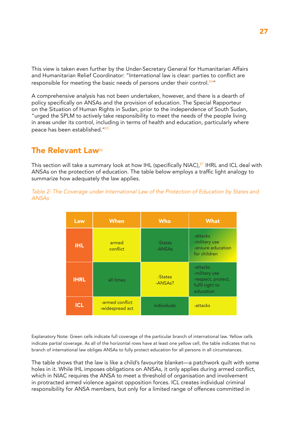This view is taken even further by the Under-Secretary General for Humanitarian Affairs and Humanitarian Relief Coordinator: "International law is clear: parties to conflict are responsible for meeting the basic needs of persons under their control.<sup>84"</sup>

A comprehensive analysis has not been undertaken, however, and there is a dearth of policy specifically on ANSAs and the provision of education. The Special Rapporteur on the Situation of Human Rights in Sudan, prior to the independence of South Sudan, "urged the SPLM to actively take responsibility to meet the needs of the people living in areas under its control, including in terms of health and education, particularly where peace has been established."<sup>85</sup>

### **The Relevant Law<sup>86</sup>**

This section will take a summary look at how IHL (specifically NIAC), $87$  IHRL and ICL deal with ANSAs on the protection of education. The table below employs a traffic light analogy to summarize how adequately the law applies.

*Table 2: The Coverage under International Law of the Protection of Education by States and ANSAs*

| Law         | <b>When</b>                        | <b>Who</b>                      | <b>What</b>                                                                     |
|-------------|------------------------------------|---------------------------------|---------------------------------------------------------------------------------|
| <b>IHL</b>  | armed<br>conflict                  | -States<br>-ANSAs               | -attacks<br>-military use<br>-ensure education<br>for children                  |
| <b>IHRL</b> | all times                          | -States<br>-ANSA <sub>s</sub> ? | -attacks<br>-military use<br>-respect, protect,<br>fulfil right to<br>education |
| <b>ICL</b>  | -armed conflict<br>-widespread act | individuals                     | -attacks                                                                        |

Explanatory Note: Green cells indicate full coverage of the particular branch of international law. Yellow cells indicate partial coverage. As all of the horizontal rows have at least one yellow cell, the table indicates that no branch of international law obliges ANSAs to fully protect education for all persons in all circumstances.

The table shows that the law is like a child's favourite blanket—a patchwork quilt with some holes in it. While IHL imposes obligations on ANSAs, it only applies during armed conflict, which in NIAC requires the ANSA to meet a threshold of organisation and involvement in protracted armed violence against opposition forces. ICL creates individual criminal responsibility for ANSA members, but only for a limited range of offences committed in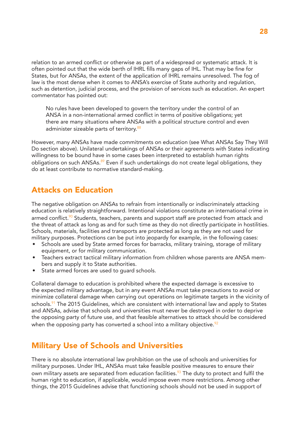relation to an armed conflict or otherwise as part of a widespread or systematic attack. It is often pointed out that the wide berth of IHRL fills many gaps of IHL. That may be fine for States, but for ANSAs, the extent of the application of IHRL remains unresolved. The fog of law is the most dense when it comes to ANSA's exercise of State authority and regulation, such as detention, judicial process, and the provision of services such as education. An expert commentator has pointed out:

No rules have been developed to govern the territory under the control of an ANSA in a non-international armed conflict in terms of positive obligations; yet there are many situations where ANSAs with a political structure control and even administer sizeable parts of territory.<sup>88</sup>

However, many ANSAs have made commitments on education (see What ANSAs Say They Will Do section above). Unilateral undertakings of ANSAs or their agreements with States indicating willingness to be bound have in some cases been interpreted to establish human rights obligations on such ANSAs.<sup>89</sup> Even if such undertakings do not create legal obligations, they do at least contribute to normative standard-making.

### Attacks on Education

The negative obligation on ANSAs to refrain from intentionally or indiscriminately attacking education is relatively straightforward. Intentional violations constitute an international crime in armed conflict.<sup>90</sup> Students, teachers, parents and support staff are protected from attack and the threat of attack as long as and for such time as they do not directly participate in hostilities. Schools, materials, facilities and transports are protected as long as they are not used for military purposes. Protections can be put into jeopardy for example, in the following cases:

- Schools are used by State armed forces for barracks, military training, storage of military equipment, or for military communication.
- Teachers extract tactical military information from children whose parents are ANSA members and supply it to State authorities.
- State armed forces are used to quard schools.

Collateral damage to education is prohibited where the expected damage is excessive to the expected military advantage, but in any event ANSAs must take precautions to avoid or minimize collateral damage when carrying out operations on legitimate targets in the vicinity of schools.<sup>91</sup> The 2015 Guidelines, which are consistent with international law and apply to States and ANSAs, advise that schools and universities must never be destroyed in order to deprive the opposing party of future use, and that feasible alternatives to attack should be considered when the opposing party has converted a school into a military objective.  $\frac{92}{2}$ 

## Military Use of Schools and Universities

There is no absolute international law prohibition on the use of schools and universities for military purposes. Under IHL, ANSAs must take feasible positive measures to ensure their own military assets are separated from education facilities.<sup>93</sup> The duty to protect and fulfil the human right to education, if applicable, would impose even more restrictions. Among other things, the 2015 Guidelines advise that functioning schools should not be used in support of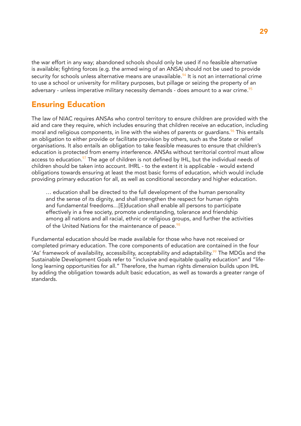the war effort in any way; abandoned schools should only be used if no feasible alternative is available; fighting forces (e.g. the armed wing of an ANSA) should not be used to provide security for schools unless alternative means are unavailable.<sup>94</sup> It is not an international crime to use a school or university for military purposes, but pillage or seizing the property of an adversary - unless imperative military necessity demands - does amount to a war crime.  $95$ 

## Ensuring Education

The law of NIAC requires ANSAs who control territory to ensure children are provided with the aid and care they require, which includes ensuring that children receive an education, including moral and religious components, in line with the wishes of parents or quardians.  $96$  This entails an obligation to either provide or facilitate provision by others, such as the State or relief organisations. It also entails an obligation to take feasible measures to ensure that children's education is protected from enemy interference. ANSAs without territorial control must allow access to education. $97$  The age of children is not defined by IHL, but the individual needs of children should be taken into account. IHRL - to the extent it is applicable - would extend obligations towards ensuring at least the most basic forms of education, which would include providing primary education for all, as well as conditional secondary and higher education.

… education shall be directed to the full development of the human personality and the sense of its dignity, and shall strengthen the respect for human rights and fundamental freedoms…[E]ducation shall enable all persons to participate effectively in a free society, promote understanding, tolerance and friendship among all nations and all racial, ethnic or religious groups, and further the activities of the United Nations for the maintenance of peace.<sup>98</sup>

Fundamental education should be made available for those who have not received or completed primary education. The core components of education are contained in the four 'As' framework of availability, accessibility, acceptability and adaptability.<sup>99</sup> The MDGs and the Sustainable Development Goals refer to "inclusive and equitable quality education" and "lifelong learning opportunities for all." Therefore, the human rights dimension builds upon IHL by adding the obligation towards adult basic education, as well as towards a greater range of standards.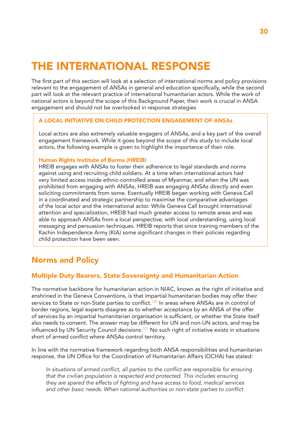# THE INTERNATIONAL RESPONSE

The first part of this section will look at a selection of international norms and policy provisions relevant to the engagement of ANSAs in general and education specifically, while the second part will look at the relevant practice of international humanitarian actors. While the work of national actors is beyond the scope of this Background Paper, their work is crucial in ANSA engagement and should not be overlooked in response strategies

#### A LOCAL INITIATIVE ON CHILD PROTECTION ENGAGEMENT OF ANSAs

Local actors are also extremely valuable engagers of ANSAs, and a key part of the overall engagement framework. While it goes beyond the scope of this study to include local actors, the following example is given to highlight the importance of their role.

#### Human Rights Institute of Burma (HREIB)

HREIB engages with ANSAs to foster their adherence to legal standards and norms against using and recruiting child soldiers. At a time when international actors had very limited access inside ethnic-controlled areas of Myanmar, and when the UN was prohibited from engaging with ANSAs, HREIB was engaging ANSAs directly and even soliciting commitments from some. Eventually HREIB began working with Geneva Call in a coordinated and strategic partnership to maximise the comparative advantages of the local actor and the international actor. While Geneva Call brought international attention and specialization, HREIB had much greater access to remote areas and was able to approach ANSAs from a local perspective, with local understanding, using local messaging and persuasion techniques. HREIB reports that since training members of the Kachin Independence Army (KIA) some significant changes in their policies regarding child protection have been seen.

## Norms and Policy

#### Multiple Duty Bearers, State Sovereignty and Humanitarian Action

The normative backbone for humanitarian action in NIAC, known as the right of initiative and enshrined in the Geneva Conventions, is that impartial humanitarian bodies may offer their services to State or non-State parties to conflict.<sup>100</sup> In areas where ANSAs are in control of border regions, legal experts disagree as to whether acceptance by an ANSA of the offer of services by an impartial humanitarian organisation is sufficient, or whether the State itself also needs to consent. The answer may be different for UN and non-UN actors, and may be influenced by UN Security Council decisions.<sup>101</sup> No such right of initiative exists in situations short of armed conflict where ANSAs control territory.

In line with the normative framework regarding both ANSA responsibilities and humanitarian response, the UN Office for the Coordination of Humanitarian Affairs (OCHA) has stated:

In situations of armed conflict, all parties to the conflict are responsible for ensuring *that the civilian population is respected and protected. This includes ensuring*  they are spared the effects of fighting and have access to food, medical services and other basic needs. When national authorities or non-state parties to conflict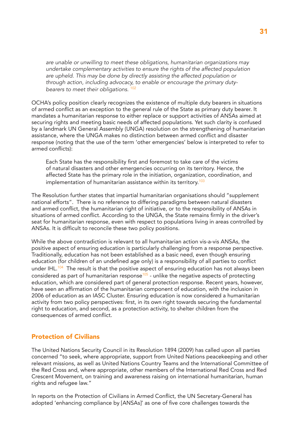*are unable or unwilling to meet these obligations, humanitarian organizations may undertake complementary activities to ensure the rights of the affected population are upheld. This may be done by directly assisting the affected population or through action, including advocacy, to enable or encourage the primary dutybearers to meet their obligations.* <sup>102</sup>

OCHA's policy position clearly recognizes the existence of multiple duty bearers in situations of armed conflict as an exception to the general rule of the State as primary duty bearer. It mandates a humanitarian response to either replace or support activities of ANSAs aimed at securing rights and meeting basic needs of affected populations. Yet such clarity is confused by a landmark UN General Assembly (UNGA) resolution on the strengthening of humanitarian assistance, where the UNGA makes no distinction between armed conflict and disaster response (noting that the use of the term 'other emergencies' below is interpreted to refer to armed conflicts):

Each State has the responsibility first and foremost to take care of the victims of natural disasters and other emergencies occurring on its territory. Hence, the affected State has the primary role in the initiation, organization, coordination, and implementation of humanitarian assistance within its territory.<sup>103</sup>

The Resolution further states that impartial humanitarian organisations should "supplement national efforts". There is no reference to differing paradigms between natural disasters and armed conflict, the humanitarian right of initiative, or to the responsibility of ANSAs in situations of armed conflict. According to the UNGA, the State remains firmly in the driver's seat for humanitarian response, even with respect to populations living in areas controlled by ANSAs. It is difficult to reconcile these two policy positions.

While the above contradiction is relevant to all humanitarian action vis-a-vis ANSAs, the positive aspect of ensuring education is particularly challenging from a response perspective. Traditionally, education has not been established as a basic need, even though ensuring education (for children of an undefined age only) is a responsibility of all parties to conflict under IHL. $104$  The result is that the positive aspect of ensuring education has not always been considered as part of humanitarian response $105$  - unlike the negative aspects of protecting education, which are considered part of general protection response. Recent years, however, have seen an affirmation of the humanitarian component of education, with the inclusion in 2006 of education as an IASC Cluster. Ensuring education is now considered a humanitarian activity from two policy perspectives: first, in its own right towards securing the fundamental right to education, and second, as a protection activity, to shelter children from the consequences of armed conflict.

#### Protection of Civilians

The United Nations Security Council in its Resolution 1894 (2009) has called upon all parties concerned "to seek, where appropriate, support from United Nations peacekeeping and other relevant missions, as well as United Nations Country Teams and the International Committee of the Red Cross and, where appropriate, other members of the International Red Cross and Red Crescent Movement, on training and awareness raising on international humanitarian, human rights and refugee law."

In reports on the Protection of Civilians in Armed Conflict, the UN Secretary-General has adopted 'enhancing compliance by [ANSAs]' as one of five core challenges towards the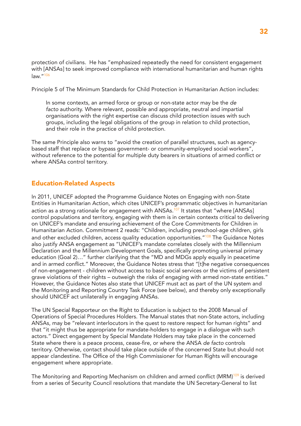protection of civilians. He has "emphasized repeatedly the need for consistent engagement with [ANSAs] to seek improved compliance with international humanitarian and human rights law."<sup>106</sup>

Principle 5 of The Minimum Standards for Child Protection in Humanitarian Action includes:

In some contexts, an armed force or group or non-state actor may be the *de facto* authority. Where relevant, possible and appropriate, neutral and impartial organisations with the right expertise can discuss child protection issues with such groups, including the legal obligations of the group in relation to child protection, and their role in the practice of child protection.

The same Principle also warns to "avoid the creation of parallel structures, such as agencybased staff that replace or bypass government- or community-employed social workers", without reference to the potential for multiple duty bearers in situations of armed conflict or where ANSAs control territory.

#### Education-Related Aspects

In 2011, UNICEF adopted the Programme Guidance Notes on Engaging with non-State Entities in Humanitarian Action, which cites UNICEF's programmatic objectives in humanitarian action as a strong rationale for engagement with ANSAs.<sup>107</sup> It states that "where [ANSAs] control populations and territory, engaging with them is in certain contexts critical to delivering on UNICEF's mandate and ensuring achievement of the Core Commitments for Children in Humanitarian Action. Commitment 2 reads: "Children, including preschool-age children, girls and other excluded children, access quality education opportunities."<sup>108</sup> The Guidance Notes also justify ANSA engagement as "UNICEF's mandate correlates closely with the Millennium Declaration and the Millennium Development Goals, specifically promoting universal primary education (Goal 2)…" further clarifying that the "MD and MDGs apply equally in peacetime and in armed conflict." Moreover, the Guidance Notes stress that "[t]he negative consequences of non-engagement - children without access to basic social services or the victims of persistent grave violations of their rights – outweigh the risks of engaging with armed non-state entities." However, the Guidance Notes also state that UNICEF must act as part of the UN system and the Monitoring and Reporting Country Task Force (see below), and thereby only exceptionally should UNICEF act unilaterally in engaging ANSAs.

The UN Special Rapporteur on the Right to Education is subject to the 2008 Manual of Operations of Special Procedures Holders. The Manual states that non-State actors, including ANSAs, may be "relevant interlocutors in the quest to restore respect for human rights" and that "it might thus be appropriate for mandate-holders to engage in a dialogue with such actors." Direct engagement by Special Mandate Holders may take place in the concerned State where there is a peace process, cease-fire, or where the ANSA *de facto* controls territory. Otherwise, contact should take place outside of the concerned State but should not appear clandestine. The Office of the High Commissioner for Human Rights will encourage engagement where appropriate.

The Monitoring and Reporting Mechanism on children and armed conflict (MRM)<sup>109</sup> is derived from a series of Security Council resolutions that mandate the UN Secretary-General to list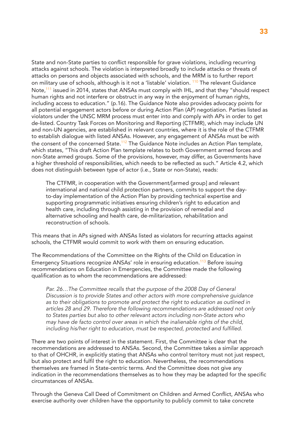State and non-State parties to conflict responsible for grave violations, including recurring attacks against schools. The violation is interpreted broadly to include attacks or threats of attacks on persons and objects associated with schools, and the MRM is to further report on military use of schools, although is it not a 'listable' violation. <sup>110</sup> The relevant Guidance Note,<sup>111</sup> issued in 2014, states that ANSAs must comply with IHL, and that they "should respect human rights and not interfere or obstruct in any way in the enjoyment of human rights, including access to education." (p.16). The Guidance Note also provides advocacy points for all potential engagement actors before or during Action Plan (AP) negotiation. Parties listed as violators under the UNSC MRM process must enter into and comply with APs in order to get de-listed. Country Task Forces on Monitoring and Reporting (CTFMR), which may include UN and non-UN agencies, are established in relevant countries, where it is the role of the CTFMR to establish dialogue with listed ANSAs. However, any engagement of ANSAs must be with the consent of the concerned State.<sup>112</sup> The Guidance Note includes an Action Plan template, which states, "This draft Action Plan template relates to both Government armed forces and non-State armed groups. Some of the provisions, however, may differ, as Governments have a higher threshold of responsibilities, which needs to be reflected as such." Article 4.2, which does not distinguish between type of actor (i.e., State or non-State), reads:

The CTFMR, in cooperation with the Government/[armed group] and relevant international and national child protection partners, commits to support the dayto-day implementation of the Action Plan by providing technical expertise and supporting programmatic initiatives ensuring children's right to education and health care, including through assisting in the provision of remedial and alternative schooling and health care, de-militarization, rehabilitation and reconstruction of schools.

This means that in APs signed with ANSAs listed as violators for recurring attacks against schools, the CTFMR would commit to work with them on ensuring education.

The Recommendations of the Committee on the Rights of the Child on Education in Emergency Situations recognize ANSAs' role in ensuring education.<sup>113</sup> Before issuing recommendations on Education in Emergencies, the Committee made the following qualification as to whom the recommendations are addressed:

Par. 26... The Committee recalls that the purpose of the 2008 Day of General *Discussion is to provide States and other actors with more comprehensive guidance as to their obligations to promote and protect the right to education as outlined in articles 28 and 29. Therefore the following recommendations are addressed not only to States parties but also to other relevant actors including non-State actors who may have de facto control over areas in which the inalienable rights of the child,*  including his/her right to education, must be respected, protected and fulfilled.

There are two points of interest in the statement. First, the Committee is clear that the recommendations are addressed to ANSAs. Second, the Committee takes a similar approach to that of OHCHR, in explicitly stating that ANSAs who control territory must not just respect, but also protect and fulfil the right to education. Nevertheless, the recommendations themselves are framed in State-centric terms. And the Committee does not give any indication in the recommendations themselves as to how they may be adapted for the specific circumstances of ANSAs.

Through the Geneva Call Deed of Commitment on Children and Armed Conflict, ANSAs who exercise authority over children have the opportunity to publicly commit to take concrete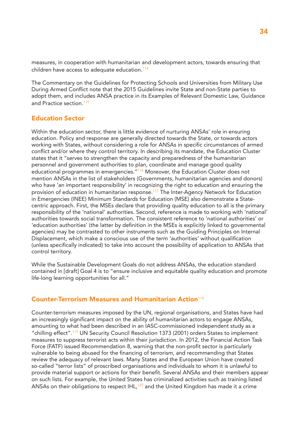measures, in cooperation with humanitarian and development actors, towards ensuring that children have access to adequate education.<sup>114</sup>

The Commentary on the Guidelines for Protecting Schools and Universities from Military Use During Armed Conflict note that the 2015 Guidelines invite State and non-State parties to adopt them, and includes ANSA practice in its Examples of Relevant Domestic Law, Guidance and Practice section.<sup>115</sup>

#### Education Sector

Within the education sector, there is little evidence of nurturing ANSAs' role in ensuring education. Policy and response are generally directed towards the State, or towards actors working with States, without considering a role for ANSAs in specific circumstances of armed conflict and/or where they control territory. In describing its mandate, the Education Cluster states that it "serves to strengthen the capacity and preparedness of the humanitarian personnel and government authorities to plan, coordinate and manage good quality educational programmes in emergencies."<sup>116</sup> Moreover, the Education Cluster does not mention ANSAs in the list of stakeholders (Governments, humanitarian agencies and donors) who have 'an important responsibility' in recognizing the right to education and ensuring the provision of education in humanitarian response.<sup>117</sup> The Inter-Agency Network for Education in Emergencies (INEE) Minimum Standards for Education (MSE) also demonstrate a Statecentric approach. First, the MSEs declare that providing quality education to all is the primary responsibility of the 'national' authorities. Second, reference is made to working with 'national' authorities towards social transformation. The consistent reference to 'national authorities' or 'education authorities' (the latter by definition in the MSEs is explicitly linked to governmental agencies) may be contrasted to other instruments such as the Guiding Principles on Internal Displacement, which make a conscious use of the term 'authorities' without qualification (unless specifically indicated) to take into account the possibility of application to ANSAs that control territory.

While the Sustainable Development Goals do not address ANSAs, the education standard contained in [draft] Goal 4 is to "ensure inclusive and equitable quality education and promote life-long learning opportunities for all."

#### Counter-Terrorism Measures and Humanitarian Action<sup>118</sup>

Counter-terrorism measures imposed by the UN, regional organisations, and States have had an increasingly significant impact on the ability of humanitarian actors to engage ANSAs, amounting to what had been described in an IASC-commissioned independent study as a "chilling effect".<sup>119</sup> UN Security Council Resolution 1373 (2001) orders States to implement measures to suppress terrorist acts within their jurisdiction. In 2012, the Financial Action Task Force (FATF) issued Recommendation 8, warning that the non-profit sector is particularly vulnerable to being abused for the financing of terrorism, and recommending that States review the adequacy of relevant laws. Many States and the European Union have created so-called "terror lists" of proscribed organisations and individuals to whom it is unlawful to provide material support or actions for their benefit. Several ANSAs and their members appear on such lists. For example, the United States has criminalized activities such as training listed ANSAs on their obligations to respect  $IHL$ ,<sup>120</sup> and the United Kingdom has made it a crime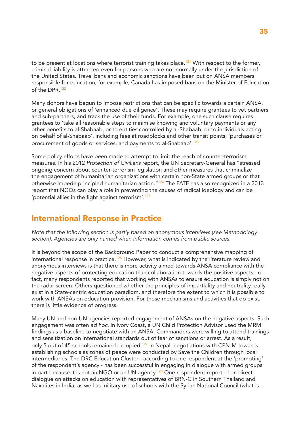to be present at locations where terrorist training takes place.<sup>121</sup> With respect to the former, criminal liability is attracted even for persons who are not normally under the jurisdiction of the United States. Travel bans and economic sanctions have been put on ANSA members responsible for education; for example, Canada has imposed bans on the Minister of Education of the DPR  $122$ 

Many donors have begun to impose restrictions that can be specific towards a certain ANSA, or general obligations of 'enhanced due diligence'. These may require grantees to vet partners and sub-partners, and track the use of their funds. For example, one such clause requires grantees to 'take all reasonable steps to minimise knowing and voluntary payments or any other benefits to al-Shabaab, or to entities controlled by al-Shabaab, or to individuals acting on behalf of al-Shabaab', including fees at roadblocks and other transit points, 'purchases or procurement of goods or services, and payments to al-Shabaab'.<sup>123</sup>

Some policy efforts have been made to attempt to limit the reach of counter-terrorism measures. In his 2012 *Protection of Civilians* report, the UN Secretary-General has "stressed ongoing concern about counter-terrorism legislation and other measures that criminalize the engagement of humanitarian organizations with certain non-State armed groups or that otherwise impede principled humanitarian action."<sup>124</sup> The FATF has also recognized in a 2013 report that NGOs can play a role in preventing the causes of radical ideology and can be 'potential allies in the fight against terrorism'.<sup>125</sup>

## International Response in Practice

*Note that the following section is partly based on anonymous interviews (see Methodology section). Agencies are only named when information comes from public sources.*

It is beyond the scope of the Background Paper to conduct a comprehensive mapping of international response in practice.<sup>126</sup> However, what is indicated by the literature review and anonymous interviews is that there is more activity aimed towards ANSA compliance with the negative aspects of protecting education than collaboration towards the positive aspects. In fact, many respondents reported that working with ANSAs to ensure education is simply not on the radar screen. Others questioned whether the principles of impartiality and neutrality really exist in a State-centric education paradigm, and therefore the extent to which it is possible to work with ANSAs on education provision. For those mechanisms and activities that do exist, there is little evidence of progress.

Many UN and non-UN agencies reported engagement of ANSAs on the negative aspects. Such engagement was often *ad hoc*. In Ivory Coast, a UN Child Protection Advisor used the MRM findings as a baseline to negotiate with an ANSA. Commanders were willing to attend trainings and sensitization on international standards out of fear of sanctions or arrest. As a result, only 5 out of 45 schools remained occupied.<sup>127</sup> In Nepal, negotiations with CPN-M towards establishing schools as zones of peace were conducted by Save the Children through local intermediaries. The DRC Education Cluster - according to one respondent at the 'prompting' of the respondent's agency - has been successful in engaging in dialogue with armed groups in part because it is not an NGO or an UN agency.<sup>128</sup> One respondent reported on direct dialogue on attacks on education with representatives of BRN-C in Southern Thailand and Naxalites in India, as well as military use of schools with the Syrian National Council (what is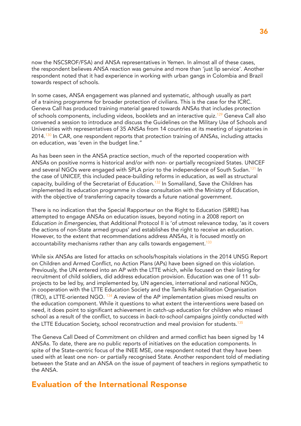now the NSCSROF/FSA) and ANSA representatives in Yemen. In almost all of these cases, the respondent believes ANSA reaction was genuine and more than 'just lip service'. Another respondent noted that it had experience in working with urban gangs in Colombia and Brazil towards respect of schools.

In some cases, ANSA engagement was planned and systematic, although usually as part of a training programme for broader protection of civilians. This is the case for the ICRC. Geneva Call has produced training material geared towards ANSAs that includes protection of schools components, including videos, booklets and an interactive quiz.<sup>129</sup> Geneva Call also convened a session to introduce and discuss the Guidelines on the Military Use of Schools and Universities with representatives of 35 ANSAs from 14 countries at its meeting of signatories in 2014.<sup>130</sup> In CAR, one respondent reports that protection training of ANSAs, including attacks on education, was 'even in the budget line."

As has been seen in the ANSA practice section, much of the reported cooperation with ANSAs on positive norms is historical and/or with non- or partially recognized States. UNICEF and several NGOs were engaged with SPLA prior to the independence of South Sudan.<sup>131</sup> In the case of UNICEF, this included peace-building reforms in education, as well as structural capacity, building of the Secretariat of Education.<sup>132</sup> In Somaliland, Save the Children has implemented its education programme in close consultation with the Ministry of Education, with the objective of transferring capacity towards a future national government.

There is no indication that the Special Rapporteur on the Right to Education (SRRE) has attempted to engage ANSAs on education issues, beyond noting in a 2008 report on *Education in Emergencies*, that Additional Protocol II is 'of utmost relevance today, 'as it covers the actions of non-State armed groups' and establishes the right to receive an education. However, to the extent that recommendations address ANSAs, it is focused mostly on accountability mechanisms rather than any calls towards engagement.<sup>133</sup>

While six ANSAs are listed for attacks on schools/hospitals violations in the 2014 UNSG Report on Children and Armed Conflict, no Action Plans (APs) have been signed on this violation. Previously, the UN entered into an AP with the LTTE which, while focused on their listing for recruitment of child soldiers, did address education provision. Education was one of 11 subprojects to be led by, and implemented by, UN agencies, international and national NGOs, in cooperation with the LTTE Education Society and the Tamils Rehabilitation Organisation (TRO), a LTTE-oriented NGO.  $134$  A review of the AP implementation gives mixed results on the education component. While it questions to what extent the interventions were based on need, it does point to significant achievement in catch-up education for children who missed school as a result of the conflict, to success in *back-to-school* campaigns jointly conducted with the LTTE Education Society, school reconstruction and meal provision for students.<sup>135</sup>

The Geneva Call Deed of Commitment on children and armed conflict has been signed by 14 ANSAs. To date, there are no public reports of initiatives on the education components. In spite of the State-centric focus of the INEE MSE, one respondent noted that they have been used with at least one non- or partially recognised State. Another respondent told of mediating between the State and an ANSA on the issue of payment of teachers in regions sympathetic to the ANSA.

### Evaluation of the International Response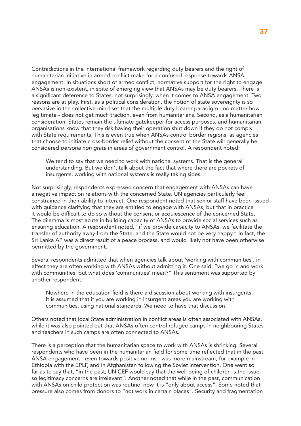Contradictions in the international framework regarding duty bearers and the right of humanitarian initiative in armed conflict make for a confused response towards ANSA engagement. In situations short of armed conflict, normative support for the right to engage ANSAs is non-existent, in spite of emerging view that ANSAs may be duty bearers. There is a significant deference to States, not surprisingly, when it comes to ANSA engagement. Two reasons are at play. First, as a political consideration, the notion of state sovereignty is so pervasive in the collective mind-set that the multiple duty bearer paradigm - no matter how legitimate - does not get much traction, even from humanitarians. Second, as a humanitarian consideration, States remain the ultimate gatekeeper for access purposes, and humanitarian organisations know that they risk having their operation shut down if they do not comply with State requirements. This is even true when ANSAs control border regions, as agencies that choose to initiate cross-border relief without the consent of the State will generally be considered *persona non grata* in areas of government control. A respondent noted:

We tend to say that we need to work with national systems. That is the general understanding. But we don't talk about the fact that where there are pockets of insurgents, working with national systems is really taking sides.

Not surprisingly, respondents expressed concern that engagement with ANSAs can have a negative impact on relations with the concerned State. UN agencies particularly feel constrained in their ability to interact. One respondent noted that senior staff have been issued with guidance clarifying that they are entitled to engage with ANSAs, but that in practice it would be difficult to do so without the consent or acquiescence of the concerned State. The dilemma is most acute in building capacity of ANSAs to provide social services such as ensuring education. A respondent noted, "if we provide capacity to ANSAs, we facilitate the transfer of authority away from the State, and the State would not be very happy." In fact, the Sri Lanka AP was a direct result of a peace process, and would likely not have been otherwise permitted by the government.

Several respondents admitted that when agencies talk about 'working with communities', in effect they are often working with ANSAs without admitting it. One said, "we go in and work with communities, but what does 'communities' mean?" This sentiment was supported by another respondent:

Nowhere in the education field is there a discussion about working with insurgents. It is assumed that if you are working in insurgent areas you are working with communities, using national standards. We need to have that discussion.

Others noted that local State administration in conflict areas is often associated with ANSAs, while it was also pointed out that ANSAs often control refugee camps in neighbouring States and teachers in such camps are often connected to ANSAs.

There is a perception that the humanitarian space to work with ANSAs is shrinking. Several respondents who have been in the humanitarian field for some time reflected that in the past, ANSA engagement - even towards positive norms - was more mainstream, for example in Ethiopia with the EPLF, and in Afghanistan following the Soviet intervention. One went so far as to say that, "in the past, UNICEF would say that the well being of children is the issue, so legitimacy concerns are irrelevant". Another noted that while in the past, communication with ANSAs on child protection was routine, now it is "only about access". Some noted that pressure also comes from donors to "not work in certain places". Security and fragmentation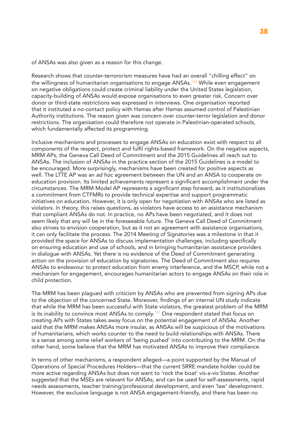of ANSAs was also given as a reason for this change.

Research shows that counter-terrororism measures have had an overall "chilling effect" on the willingness of humanitarian organisations to engage ANSAs.<sup>136</sup> While even engagement on negative obligations could create criminal liability under the United States legislation, capacity-building of ANSAs would expose organisations to even greater risk. Concern over donor or third-state restrictions was expressed in interviews. One organisation reported that it instituted a no-contact policy with Hamas after Hamas assumed control of Palestinian Authority institutions. The reason given was concern over counter-terror legislation and donor restrictions. The organisation could therefore not operate in Palestinian-operated schools, which fundamentally affected its programming.

Inclusive mechanisms and processes to engage ANSAs on education exist with respect to all components of the respect, protect and fulfil rights-based framework. On the negative aspects, MRM APs, the Geneva Call Deed of Commitment and the 2015 Guidelines all reach out to ANSAs. The inclusion of ANSAs in the practice section of the 2015 Guidelines is a model to be encouraged. More surprisingly, mechanisms have been created for positive aspects as well. The LTTE AP was an *ad hoc* agreement between the UN and an ANSA to cooperate on education provision. Its limited achievements represent a significant accomplishment under the circumstances. The MRM Model AP represents a significant step forward, as it institutionalizes a commitment from CTFMRs to provide technical expertise and support programmatic initiatives on education. However, it is only open for negotiation with ANSAs who are listed as violators. In theory, this raises questions, as violators have access to an assistance mechanism that compliant ANSAs do not. In practice, no APs have been negotiated, and it does not seem likely that any will be in the foreseeable future. The Geneva Call Deed of Commitment also strives to envision cooperation, but as it not an agreement with assistance organisations, it can only facilitate the process. The 2014 Meeting of Signatories was a milestone in that it provided the space for ANSAs to discuss implementation challenges, including specifically on ensuring education and use of schools, and in bringing humanitarian assistance providers in dialogue with ANSAs. Yet there is no evidence of the Deed of Commitment generating action on the provision of education by signatories. The Deed of Commitment also requires ANSAs to endeavour to protect education from enemy interference, and the MSCP, while not a mechanism for engagement, encourages humanitarian actors to engage ANSAs on their role in child protection.

The MRM has been plagued with criticism by ANSAs who are prevented from signing APs due to the objection of the concerned State. Moreover, findings of an internal UN study indicate that while the MRM has been successful with State violators, the greatest problem of the MRM is its inability to convince most ANSAs to comply.<sup>137</sup> One respondent stated that focus on creating APs with States takes away focus on the potential engagement of ANSAs. Another said that the MRM makes ANSAs more insular, as ANSAs will be suspicious of the motivations of humanitarians, which works counter to the need to build relationships with ANSAs. There is a sense among some relief workers of 'being pushed' into contributing to the MRM. On the other hand, some believe that the MRM has motivated ANSAs to improve their compliance.

In terms of other mechanisms, a respondent alleged—a point supported by the Manual of Operations of Special Procedures Holders—that the current SRRE mandate holder could be more active regarding ANSAs but does not want to 'rock the boat' vis-a-vis States. Another suggested that the MSEs are relevant for ANSAs, and can be used for self-assessments, rapid needs assessments, teacher training/professional development, and even 'law' development. However, the exclusive language is not ANSA engagement-friendly, and there has been no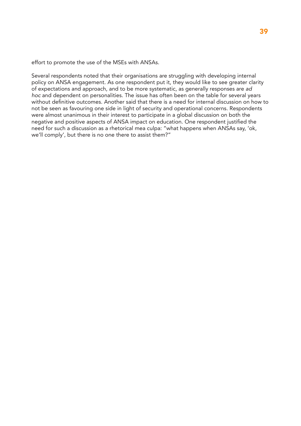effort to promote the use of the MSEs with ANSAs.

Several respondents noted that their organisations are struggling with developing internal policy on ANSA engagement. As one respondent put it, they would like to see greater clarity of expectations and approach, and to be more systematic, as generally responses are *ad hoc* and dependent on personalities. The issue has often been on the table for several years without definitive outcomes. Another said that there is a need for internal discussion on how to not be seen as favouring one side in light of security and operational concerns. Respondents were almost unanimous in their interest to participate in a global discussion on both the negative and positive aspects of ANSA impact on education. One respondent justified the need for such a discussion as a rhetorical mea culpa: "what happens when ANSAs say, 'ok, we'll comply', but there is no one there to assist them?"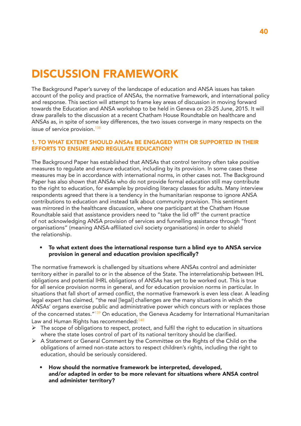# DISCUSSION FRAMEWORK

The Background Paper's survey of the landscape of education and ANSA issues has taken account of the policy and practice of ANSAs, the normative framework, and international policy and response. This section will attempt to frame key areas of discussion in moving forward towards the Education and ANSA workshop to be held in Geneva on 23-25 June, 2015. It will draw parallels to the discussion at a recent Chatham House Roundtable on healthcare and ANSAs as, in spite of some key differences, the two issues converge in many respects on the issue of service provision.<sup>138</sup>

#### 1. TO WHAT EXTENT SHOULD ANSAs BE ENGAGED WITH OR SUPPORTED IN THEIR EFFORTS TO ENSURE AND REGULATE EDUCATION?

The Background Paper has established that ANSAs that control territory often take positive measures to regulate and ensure education, including by its provision. In some cases these measures may be in accordance with international norms, in other cases not. The Background Paper has also shown that ANSAs who do not provide formal education still may contribute to the right to education, for example by providing literacy classes for adults. Many interview respondents agreed that there is a tendency in the humanitarian response to ignore ANSA contributions to education and instead talk about community provision. This sentiment was mirrored in the healthcare discussion, where one participant at the Chatham House Roundtable said that assistance providers need to "take the lid off" the current practice of not acknowledging ANSA provision of services and funnelling assistance through "front organisations" (meaning ANSA-affiliated civil society organisations) in order to shield the relationship.

• To what extent does the international response turn a blind eye to ANSA service provision in general and education provision specifically?

The normative framework is challenged by situations where ANSAs control and administer territory either in parallel to or in the absence of the State. The interrelationship between IHL obligations and potential IHRL obligations of ANSAs has yet to be worked out. This is true for all service provision norms in general, and for education provision norms in particular. In situations that fall short of armed conflict, the normative framework is even less clear. A leading legal expert has claimed, "the real [legal] challenges are the many situations in which the ANSAs' organs exercise public and administrative power which concurs with or replaces those of the concerned states."<sup>139</sup> On education, the Geneva Academy for International Humanitarian Law and Human Rights has recommended:<sup>140</sup>

- $\triangleright$  The scope of obligations to respect, protect, and fulfil the right to education in situations where the state loses control of part of its national territory should be clarified.
- $\triangleright$  A Statement or General Comment by the Committee on the Rights of the Child on the obligations of armed non-state actors to respect children's rights, including the right to education, should be seriously considered.
	- How should the normative framework be interpreted, developed, and/or adapted in order to be more relevant for situations where ANSA control and administer territory?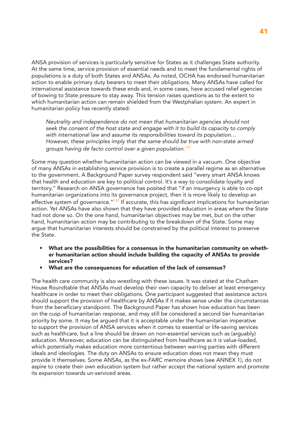ANSA provision of services is particularly sensitive for States as it challenges State authority. At the same time, service provision of essential needs and to meet the fundamental rights of populations is a duty of both States and ANSAs. As noted, OCHA has endorsed humanitarian action to enable primary duty bearers to meet their obligations. Many ANSAs have called for international assistance towards these ends and, in some cases, have accused relief agencies of bowing to State pressure to stay away. This tension raises questions as to the extent to which humanitarian action can remain shielded from the Westphalian system. An expert in humanitarian policy has recently stated:

*Neutrality and independence do not mean that humanitarian agencies should not seek the consent of the host state and engage with it to build its capacity to comply with international law and assume its responsibilities toward its population… However, these principles imply that the same should be true with non-state armed groups having de facto control over a given population.<sup>141</sup>*

Some may question whether humanitarian action can be viewed in a vacuum. One objective of many ANSAs in establishing service provision is to create a parallel regime as an alternative to the government. A Background Paper survey respondent said "every smart ANSA knows that health and education are key to political control. It's a way to consolidate loyalty and territory." Research on ANSA governance has posited that "if an insurgency is able to co-opt humanitarian organizations into its governance project, then it is more likely to develop an effective system of governance.<sup>"142</sup> If accurate, this has significant implications for humanitarian action. Yet ANSAs have also shown that they have provided education in areas where the State had not done so. On the one hand, humanitarian objectives may be met, but on the other hand, humanitarian action may be contributing to the breakdown of the State. Some may argue that humanitarian interests should be constrained by the political interest to preserve the State.

- What are the possibilities for a consensus in the humanitarian community on whether humanitarian action should include building the capacity of ANSAs to provide services?
- What are the consequences for education of the lack of consensus?

The health care community is also wrestling with these issues. It was stated at the Chatham House Roundtable that ANSAs must develop their own capacity to deliver at least emergency healthcare in order to meet their obligations. One participant suggested that assistance actors should support the provision of healthcare by ANSAs if it makes sense under the circumstances from the beneficiary standpoint. The Background Paper has shown how education has been on the cusp of humanitarian response, and may still be considered a second tier humanitarian priority by some. It may be argued that it is acceptable under the humanitarian imperative to support the provision of ANSA services when it comes to essential or life-saving services such as healthcare, but a line should be drawn on non-essential services such as (arguably) education. Moreover, education can be distinguished from healthcare as it is value-loaded, which potentially makes education more contentious between warring parties with different ideals and ideologies. The duty on ANSAs to ensure education does not mean they must provide it themselves. Some ANSAs, as the ex-FARC memoire shows (see ANNEX 1), do not aspire to create their own education system but rather accept the national system and promote its expansion towards un-serviced areas.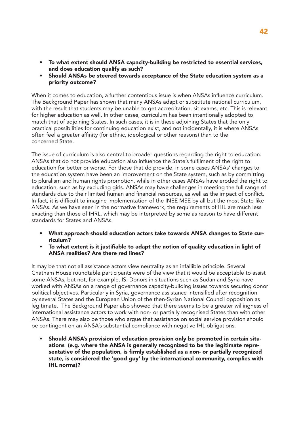- To what extent should ANSA capacity-building be restricted to essential services, and does education qualify as such?
- Should ANSAs be steered towards acceptance of the State education system as a priority outcome?

When it comes to education, a further contentious issue is when ANSAs influence curriculum. The Background Paper has shown that many ANSAs adapt or substitute national curriculum, with the result that students may be unable to get accreditation, sit exams, etc. This is relevant for higher education as well. In other cases, curriculum has been intentionally adopted to match that of adjoining States. In such cases, it is in these adjoining States that the only practical possibilities for continuing education exist, and not incidentally, it is where ANSAs often feel a greater affinity (for ethnic, ideological or other reasons) than to the concerned State.

The issue of curriculum is also central to broader questions regarding the right to education. ANSAs that do not provide education also influence the State's fulfilment of the right to education for better or worse. For those that do provide, in some cases ANSAs' changes to the education system have been an improvement on the State system, such as by committing to pluralism and human rights promotion, while in other cases ANSAs have eroded the right to education, such as by excluding girls. ANSAs may have challenges in meeting the full range of standards due to their limited human and financial resources, as well as the impact of conflict. In fact, it is difficult to imagine implementation of the INEE MSE by all but the most State-like ANSAs. As we have seen in the normative framework, the requirements of IHL are much less exacting than those of IHRL, which may be interpreted by some as reason to have different standards for States and ANSAs.

- What approach should education actors take towards ANSA changes to State curriculum?
- To what extent is it justifiable to adapt the notion of quality education in light of ANSA realities? Are there red lines?

It may be that not all assistance actors view neutrality as an infallible principle. Several Chatham House roundtable participants were of the view that it would be acceptable to assist some ANSAs, but not, for example, IS. Donors in situations such as Sudan and Syria have worked with ANSAs on a range of governance capacity-building issues towards securing donor political objectives. Particularly in Syria, governance assistance intensified after recognition by several States and the European Union of the then-Syrian National Council opposition as legitimate. The Background Paper also showed that there seems to be a greater willingness of international assistance actors to work with non- or partially recognised States than with other ANSAs. There may also be those who argue that assistance on social service provision should be contingent on an ANSA's substantial compliance with negative IHL obligations.

• Should ANSA's provision of education provision only be promoted in certain situations (e.g. where the ANSA is generally recognized to be the legitimate representative of the population, is firmly established as a non- or partially recognized state, is considered the 'good guy' by the international community, complies with IHL norms)?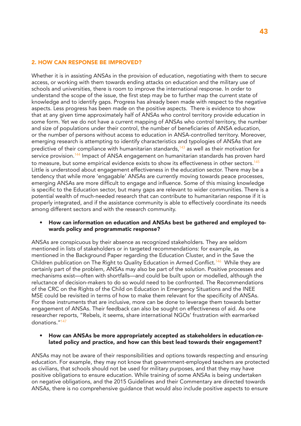#### 2. HOW CAN RESPONSE BE IMPROVED?

Whether it is in assisting ANSAs in the provision of education, negotiating with them to secure access, or working with them towards ending attacks on education and the military use of schools and universities, there is room to improve the international response. In order to understand the scope of the issue, the first step may be to further map the current state of knowledge and to identify gaps. Progress has already been made with respect to the negative aspects. Less progress has been made on the positive aspects. There is evidence to show that at any given time approximately half of ANSAs who control territory provide education in some form. Yet we do not have a current mapping of ANSAs who control territory, the number and size of populations under their control, the number of beneficiaries of ANSA education, or the number of persons without access to education in ANSA-controlled territory. Moreover, emerging research is attempting to identify characteristics and typologies of ANSAs that are predictive of their compliance with humanitarian standards, $143$  as well as their motivation for service provision.<sup>144</sup> Impact of ANSA engagement on humanitarian standards has proven hard to measure, but some empirical evidence exists to show its effectiveness in other sectors.<sup>145</sup> Little is understood about engagement effectiveness in the education sector. There may be a tendency that while more 'engagable' ANSAs are currently moving towards peace processes, emerging ANSAs are more difficult to engage and influence. Some of this missing knowledge is specific to the Education sector, but many gaps are relevant to wider communities. There is a potential wealth of much-needed research that can contribute to humanitarian response if it is properly integrated, and if the assistance community is able to effectively coordinate its needs among different sectors and with the research community.

#### • How can information on education and ANSAs best be gathered and employed towards policy and programmatic response?

ANSAs are conspicuous by their absence as recognized stakeholders. They are seldom mentioned in lists of stakeholders or in targeted recommendations: for example, as mentioned in the Background Paper regarding the Education Cluster, and in the Save the Children publication on The Right to Quality Education in Armed Conflict.<sup>146</sup> While they are certainly part of the problem, ANSAs may also be part of the solution. Positive processes and mechanisms exist—often with shortfalls—and could be built upon or modelled, although the reluctance of decision-makers to do so would need to be confronted. The Recommendations of the CRC on the Rights of the Child on Education in Emergency Situations and the INEE MSE could be revisited in terms of how to make them relevant for the specificity of ANSAs. For those instruments that are inclusive, more can be done to leverage them towards better engagement of ANSAs. Their feedback can also be sought on effectiveness of aid. As one researcher reports, "Rebels, it seems, share international NGOs' frustration with earmarked donations<sup>"147</sup>

#### • How can ANSAs be more appropriately accepted as stakeholders in education-related policy and practice, and how can this best lead towards their engagement?

ANSAs may not be aware of their responsibilities and options towards respecting and ensuring education. For example, they may not know that government-employed teachers are protected as civilians, that schools should not be used for military purposes, and that they may have positive obligations to ensure education. While training of some ANSAs is being undertaken on negative obligations, and the 2015 Guidelines and their Commentary are directed towards ANSAs, there is no comprehensive guidance that would also include positive aspects to ensure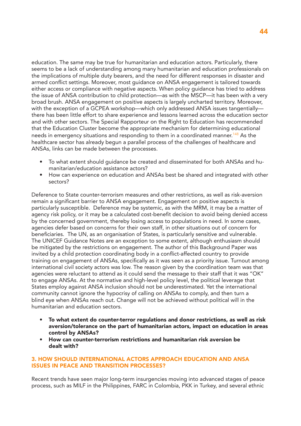education. The same may be true for humanitarian and education actors. Particularly, there seems to be a lack of understanding among many humanitarian and education professionals on the implications of multiple duty bearers, and the need for different responses in disaster and armed conflict settings. Moreover, most guidance on ANSA engagement is tailored towards either access or compliance with negative aspects. When policy guidance has tried to address the issue of ANSA contribution to child protection—as with the MSCP—it has been with a very broad brush. ANSA engagement on positive aspects is largely uncharted territory. Moreover, with the exception of a GCPEA workshop—which only addressed ANSA issues tangentially there has been little effort to share experience and lessons learned across the education sector and with other sectors. The Special Rapporteur on the Right to Education has recommended that the Education Cluster become the appropriate mechanism for determining educational needs in emergency situations and responding to them in a coordinated manner.<sup>148</sup> As the healthcare sector has already begun a parallel process of the challenges of healthcare and ANSAs, links can be made between the processes.

- To what extent should guidance be created and disseminated for both ANSAs and humanitarian/education assistance actors?
- How can experience on education and ANSAs best be shared and integrated with other sectors?

Deference to State counter-terrorism measures and other restrictions, as well as risk-aversion remain a significant barrier to ANSA engagement. Engagement on positive aspects is particularly susceptible. Deference may be systemic, as with the MRM, it may be a matter of agency risk policy, or it may be a calculated cost-benefit decision to avoid being denied access by the concerned government, thereby losing access to populations in need. In some cases, agencies defer based on concerns for their own staff, in other situations out of concern for beneficiaries. The UN, as an organisation of States, is particularly sensitive and vulnerable. The UNICEF Guidance Notes are an exception to some extent, although enthusiasm should be mitigated by the restrictions on engagement. The author of this Background Paper was invited by a child protection coordinating body in a conflict-affected country to provide training on engagement of ANSAs, specifically as it was seen as a priority issue. Turnout among international civil society actors was low. The reason given by the coordination team was that agencies were reluctant to attend as it could send the message to their staff that it was "OK" to engage ANSAs. At the normative and high-level policy level, the political leverage that States employ against ANSA inclusion should not be underestimated. Yet the international community cannot ignore the hypocrisy of calling on ANSAs to comply, and then turn a blind eye when ANSAs reach out. Change will not be achieved without political will in the humanitarian and education sectors.

- To what extent do counter-terror regulations and donor restrictions, as well as risk aversion/tolerance on the part of humanitarian actors, impact on education in areas control by ANSAs?
- How can counter-terrorism restrictions and humanitarian risk aversion be dealt with?

#### 3. HOW SHOULD INTERNATIONAL ACTORS APPROACH EDUCATION AND ANSA ISSUES IN PEACE AND TRANSITION PROCESSES?

Recent trends have seen major long-term insurgencies moving into advanced stages of peace process, such as MILF in the Philippines, FARC in Colombia, PKK in Turkey, and several ethnic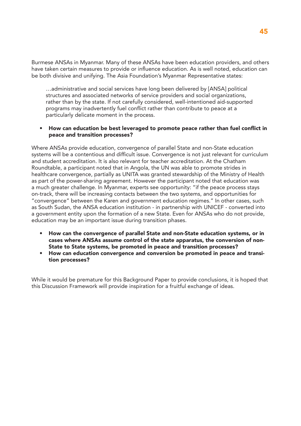Burmese ANSAs in Myanmar. Many of these ANSAs have been education providers, and others have taken certain measures to provide or influence education. As is well noted, education can be both divisive and unifying. The Asia Foundation's Myanmar Representative states:

…administrative and social services have long been delivered by [ANSA] political structures and associated networks of service providers and social organizations, rather than by the state. If not carefully considered, well-intentioned aid-supported programs may inadvertently fuel conflict rather than contribute to peace at a particularly delicate moment in the process.

#### • How can education be best leveraged to promote peace rather than fuel conflict in peace and transition processes?

Where ANSAs provide education, convergence of parallel State and non-State education systems will be a contentious and difficult issue. Convergence is not just relevant for curriculum and student accreditation. It is also relevant for teacher accreditation. At the Chatham Roundtable, a participant noted that in Angola, the UN was able to promote strides in healthcare convergence, partially as UNITA was granted stewardship of the Ministry of Health as part of the power-sharing agreement. However the participant noted that education was a much greater challenge. In Myanmar, experts see opportunity: "if the peace process stays on-track, there will be increasing contacts between the two systems, and opportunities for "convergence" between the Karen and government education regimes." In other cases, such as South Sudan, the ANSA education institution - in partnership with UNICEF - converted into a government entity upon the formation of a new State. Even for ANSAs who do not provide, education may be an important issue during transition phases.

- How can the convergence of parallel State and non-State education systems, or in cases where ANSAs assume control of the state apparatus, the conversion of non-State to State systems, be promoted in peace and transition processes?
- How can education convergence and conversion be promoted in peace and transition processes?

While it would be premature for this Background Paper to provide conclusions, it is hoped that this Discussion Framework will provide inspiration for a fruitful exchange of ideas.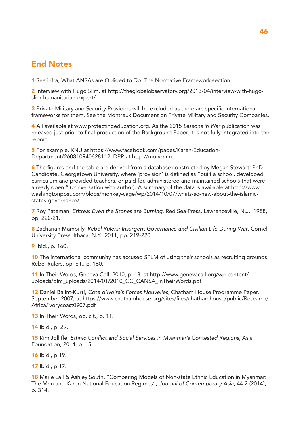## End Notes

1 See infra, What ANSAs are Obliged to Do: The Normative Framework section.

2 Interview with Hugo Slim, at http://theglobalobservatory.org/2013/04/interview-with-hugoslim-humanitarian-expert/

3 Private Military and Security Providers will be excluded as there are specific international frameworks for them. See the Montreux Document on Private Military and Security Companies.

4 All available at www.protectingeducation.org. As the 2015 *Lessons in War* publication was released just prior to final production of the Background Paper, it is not fully integrated into the report.

5 For example, KNU at https://www.facebook.com/pages/Karen-Education-Department/260810940628112, DPR at http://mondnr.ru

6 The figures and the table are derived from a database constructed by Megan Stewart, PhD Candidate, Georgetown University, where 'provision' is defined as "built a school, developed curriculum and provided teachers, or paid for, administered and maintained schools that were already open." (conversation with author). A summary of the data is available at http://www. washingtonpost.com/blogs/monkey-cage/wp/2014/10/07/whats-so-new-about-the-islamicstates-governance/

7 Roy Pateman, *Eritrea: Even the Stones are Burning*, Red Sea Press, Lawrenceville, N.J., 1988, pp. 220-21.

8 Zachariah Mampilly, *Rebel Rulers: Insurgent Governance and Civilian Life During War*, Cornell University Press, Ithaca, N.Y., 2011, pp. 219-220.

9 Ibid., p. 160.

10 The international community has accused SPLM of using their schools as recruiting grounds. Rebel Rulers, op. cit., p. 160.

11 In Their Words, Geneva Call, 2010, p. 13, at http://www.genevacall.org/wp-content/ uploads/dlm\_uploads/2014/01/2010\_GC\_CANSA\_InTheirWords.pdf

12 Daniel Balint-Kurti, *Cote d'Ivoire's Forces Nouvelles*, Chatham House Programme Paper, September 2007, at https://www.chathamhouse.org/sites/files/chathamhouse/public/Research/ Africa/ivorycoast0907.pdf

13 In Their Words, op. cit., p. 11.

14 Ibid., p. 29.

15 Kim Jolliffe, Ethnic Conflict and Social Services in Myanmar's Contested Regions, Asia Foundation, 2014, p. 15.

16 Ibid., p.19.

17 Ibid., p.17.

18 Marie Lall & Ashley South, "Comparing Models of Non-state Ethnic Education in Myanmar: The Mon and Karen National Education Regimes", *Journal of Contemporary Asia*, 44:2 (2014), p. 314.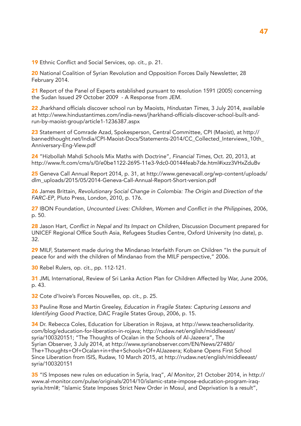19 Ethnic Conflict and Social Services, op. cit., p. 21.

20 National Coalition of Syrian Revolution and Opposition Forces Daily Newsletter, 28 February 2014.

21 Report of the Panel of Experts established pursuant to resolution 1591 (2005) concerning the Sudan Issued 29 October 2009 - A Response from JEM.

22 Jharkhand officials discover school run by Maoists, *Hindustan Times*, 3 July 2014, available at http://www.hindustantimes.com/india-news/jharkhand-officials-discover-school-built-andrun-by-maoist-group/article1-1236387.aspx

23 Statement of Comrade Azad, Spokesperson, Central Committee, CPI (Maoist), at http:// bannedthought.net/India/CPI-Maoist-Docs/Statements-2014/CC\_Collected\_Interviews\_10th\_ Anniversary-Eng-View.pdf

24 "Hizbollah Mahdi Schools Mix Maths with Doctrine", *Financial Times*, Oct. 20, 2013, at http://www.ft.com/cms/s/0/e0be1122-2695-11e3-9dc0-00144feab7de.html#ixzz3VHxZduBv

25 Geneva Call Annual Report 2014, p. 31, at http://www.genevacall.org/wp-content/uploads/ dlm\_uploads/2015/05/2014-Geneva-Call-Annual-Report-Short-version.pdf

26 James Brittain, *Revolutionary Social Change in Colombia: The Origin and Direction of the FARC-EP*, Pluto Press, London, 2010, p. 176.

27 IBON Foundation, Uncounted Lives: Children, Women and Conflict in the Philippines, 2006, p. 50.

28 Jason Hart, Conflict in Nepal and Its Impact on Children, Discussion Document prepared for UNICEF Regional Office South Asia, Refugees Studies Centre, Oxford University (no date), p. 32.

29 MILF, Statement made during the Mindanao Interfaith Forum on Children "In the pursuit of peace for and with the children of Mindanao from the MILF perspective," 2006.

30 Rebel Rulers, op. cit., pp. 112-121.

31 JML International, Review of Sri Lanka Action Plan for Children Affected by War, June 2006, p. 43.

32 Cote d'Ivoire's Forces Nouvelles, op. cit., p. 25.

33 Pauline Rose and Martin Greeley, *Education in Fragile States: Capturing Lessons and Identifying Good Practice*, DAC Fragile States Group, 2006, p. 15.

34 Dr. Rebecca Coles, Education for Liberation in Rojava, at http://www.teachersolidarity. com/blog/education-for-liberation-in-rojava; http://rudaw.net/english/middleeast/ syria/100320151; "The Thoughts of Ocalan in the Schools of Al-Jazeera", The Syrian Observer, 3 July 2014, at http://www.syrianobserver.com/EN/News/27480/ The+Thoughts+Of+Ocalan+in+the+Schools+Of+AlJazeera; Kobane Opens First School Since Liberation from ISIS, Rudaw, 10 March 2015, at http://rudaw.net/english/middleeast/ syria/100320151

35 "IS Imposes new rules on education in Syria, Iraq", Al Monitor, 21 October 2014, in http:// www.al-monitor.com/pulse/originals/2014/10/islamic-state-impose-education-program-iraqsyria.html#; "Islamic State Imposes Strict New Order in Mosul, and Deprivation Is a result",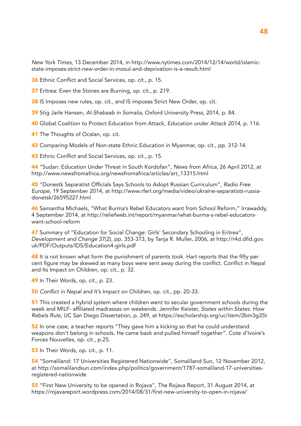*New York Times*, 13 December 2014, in http://www.nytimes.com/2014/12/14/world/islamicstate-imposes-strict-new-order-in-mosul-and-deprivation-is-a-result.html

36 Ethnic Conflict and Social Services, op. cit., p. 15.

37 Eritrea: Even the Stones are Burning, op. cit., p. 219.

38 IS Imposes new rules, op. cit., and IS imposes Strict New Order, op. cit.

39 Stig Jarle Hansen, *Al-Shabaab in Somalia*, Oxford University Press, 2014, p. 84.

40 Global Coalition to Protect Education from Attack, *Education under Attack 2014*, p. 116.

41 The Thoughts of Ocalan, op. cit.

42 Comparing Models of Non-state Ethnic Education in Myanmar, op. cit., pp. 312-14.

43 Ethnic Conflict and Social Services, op. cit., p. 15.

44 "Sudan: Education Under Threat in South Kordofan", *News from Africa*, 26 April 2012, at http://www.newsfromafrica.org/newsfromafrica/articles/art\_13315.html

45 "Donestk Separatist Officials Says Schools to Adopt Russian Curriculum", *Radio Free Europe*, 19 September 2014, at http://www.rferl.org/media/video/ukraine-separatists-russiadonetsk/26595227.html

46 Samantha Michaels, "What Burma's Rebel Educators want from School Reform," Irrawaddy, 4 September 2014, at http://reliefweb.int/report/myanmar/what-burma-s-rebel-educatorswant-school-reform

47 Summary of "Education for Social Change: Girls' Secondary Schooling in Eritrea", *Development and Change* 37(2), pp. 353-373, by Tanja R. Muller, 2006, at http://r4d.dfid.gov. uk/PDF/Outputs/IDS/Education4-girls.pdf

**48** It is not known what form the punishment of parents took. Hart reports that the fifty per cent figure may be skewed as many boys were sent away during the conflict. Conflict in Nepal and Its Impact on Children, op. cit., p. 32.

49 In Their Words, op. cit., p. 23.

50 Conflict in Nepal and It's Impact on Children, op. cit., pp. 20-33.

51 This created a hybrid system where children went to secular government schools during the week and MILF- affiliated madrassas on weekends. Jennifer Keister, *States within States: How Rebels Rule*, UC San Diego Dissertation, p. 249, at https://escholarship.org/uc/item/2bm3g35t

52 In one case, a teacher reports "They gave him a kicking so that he could understand weapons don't belong in schools. He came back and pulled himself together". Cote d'Ivoire's Forces Nouvelles, op. cit., p.25.

53 In Their Words, op. cit., p. 11.

54 "Somaliland: 17 Universities Registered Nationwide", Somaliland Sun, 12 November 2012, at http://somalilandsun.com/index.php/politics/government/1787-somaliland-17-universitiesregistered-nationwide

55 "First New University to be opened in Rojava", The Rojava Report, 31 August 2014, at https://rojavareport.wordpress.com/2014/08/31/first-new-university-to-open-in-rojava/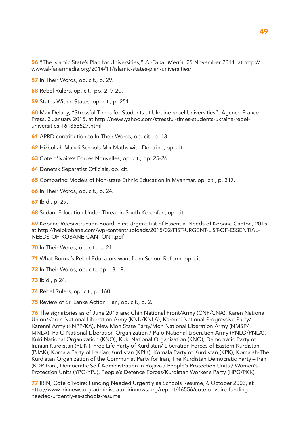56 "The Islamic State's Plan for Universities," Al-Fanar Media, 25 November 2014, at http:// www.al-fanarmedia.org/2014/11/islamic-states-plan-universities/

57 In Their Words, op. cit., p. 29.

58 Rebel Rulers, op. cit., pp. 219-20.

59 States Within States, op. cit., p. 251.

60 Max Delany, "Stressful Times for Students at Ukraine rebel Universities", Agence France Press, 3 January 2015, at http://news.yahoo.com/stressful-times-students-ukraine-rebeluniversities-161858527.html

61 APRD contribution to In Their Words, op. cit., p. 13.

62 Hizbollah Mahdi Schools Mix Maths with Doctrine, op. cit.

63 Cote d'Ivoire's Forces Nouvelles, op. cit., pp. 25-26.

64 Donetsk Separatist Officials, op. cit.

65 Comparing Models of Non-state Ethnic Education in Myanmar, op. cit., p. 317.

66 In Their Words, op. cit., p. 24.

67 Ibid., p. 29.

68 Sudan: Education Under Threat in South Kordofan, op. cit.

69 Kobane Reconstruction Board, First Urgent List of Essential Needs of Kobane Canton, 2015, at http://helpkobane.com/wp-content/uploads/2015/02/FIST-URGENT-LIST-OF-ESSENTIAL-NEEDS-OF-KOBANE-CANTON1.pdf

70 In Their Words, op. cit., p. 21.

71 What Burma's Rebel Educators want from School Reform, op. cit.

72 In Their Words, op. cit., pp. 18-19.

73 Ibid., p.24.

74 Rebel Rulers, op. cit., p. 160.

75 Review of Sri Lanka Action Plan, op. cit., p. 2.

76 The signatories as of June 2015 are: Chin National Front/Army (CNF/CNA), Karen National Union/Karen National Liberation Army (KNU/KNLA), Karenni National Progressive Party/ Karenni Army (KNPP/KA), New Mon State Party/Mon National Liberation Army (NMSP/ MNLA), Pa'O National Liberation Organization / Pa-o National Liberation Army (PNLO/PNLA), Kuki National Organization (KNO), Kuki National Organization (KNO), Democratic Party of Iranian Kurdistan (PDKI), Free Life Party of Kurdistan/ Liberation Forces of Eastern Kurdistan (PJAK), Komala Party of Iranian Kurdistan (KPIK), Komala Party of Kurdistan (KPK), Komalah-The Kurdistan Organization of the Communist Party for Iran, The Kurdistan Democratic Party – Iran (KDP-Iran), Democratic Self-Administration in Rojava / People's Protection Units / Women's Protection Units (YPG-YPJ), People's Defence Forces/Kurdistan Worker's Party (HPG/PKK)

77 IRIN, Cote d'Ivoire: Funding Needed Urgently as Schools Resume, 6 October 2003, at http://www.irinnews.org.administrator.irinnews.org/report/46556/cote-d-ivoire-fundingneeded-urgently-as-schools-resume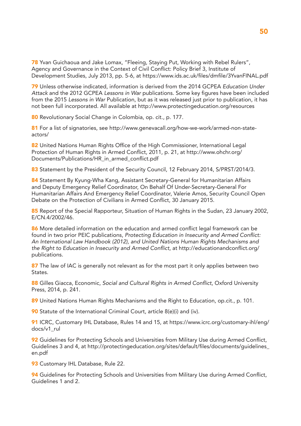78 Yvan Guichaoua and Jake Lomax, "Fleeing, Staying Put, Working with Rebel Rulers", Agency and Governance in the Context of Civil Conflict: Policy Brief 3, Institute of Development Studies, July 2013, pp. 5-6, at https://www.ids.ac.uk/files/dmfile/3YvanFINAL.pdf

79 Unless otherwise indicated, information is derived from the 2014 GCPEA *Education Under Attack* and the 2012 GCPEA *Lessons in War* publications. Some key figures have been included from the 2015 *Lessons in War* Publication, but as it was released just prior to publication, it has not been full incorporated. All available at http://www.protectingeducation.org/resources

80 Revolutionary Social Change in Colombia, op. cit., p. 177.

81 For a list of signatories, see http://www.genevacall.org/how-we-work/armed-non-stateactors/

82 United Nations Human Rights Office of the High Commissioner, International Legal Protection of Human Rights in Armed Conflict, 2011, p. 21, at http://www.ohchr.org/ Documents/Publications/HR\_in\_armed\_conflict.pdf

83 Statement by the President of the Security Council, 12 February 2014, S/PRST/2014/3.

84 Statement By Kyung-Wha Kang, Assistant Secretary-General for Humanitarian Affairs and Deputy Emergency Relief Coordinator, On Behalf Of Under-Secretary-General For Humanitarian Affairs And Emergency Relief Coordinator, Valerie Amos, Security Council Open Debate on the Protection of Civilians in Armed Conflict, 30 January 2015.

85 Report of the Special Rapporteur, Situation of Human Rights in the Sudan, 23 January 2002, E/CN.4/2002/46.

86 More detailed information on the education and armed conflict legal framework can be found in two prior PEIC publications, Protecting Education in Insecurity and Armed Conflict: An International Law Handbook (2012), and United Nations Human Rights Mechanisms and the Right to Education in Insecurity and Armed Conflict, at http://educationandconflict.org/ publications.

87 The law of IAC is generally not relevant as for the most part it only applies between two States.

88 Gilles Giacca, Economic, Social and Cultural Rights in Armed Conflict, Oxford University Press, 2014, p. 241.

89 United Nations Human Rights Mechanisms and the Right to Education, op.cit., p. 101.

90 Statute of the International Criminal Court, article 8(e)(i) and (iv).

91 ICRC, Customary IHL Database, Rules 14 and 15, at https://www.icrc.org/customary-ihl/eng/ docs/v1\_rul

92 Guidelines for Protecting Schools and Universities from Military Use during Armed Conflict, Guidelines 3 and 4, at http://protectingeducation.org/sites/default/files/documents/guidelines\_ en.pdf

93 Customary IHL Database, Rule 22.

94 Guidelines for Protecting Schools and Universities from Military Use during Armed Conflict, Guidelines 1 and 2.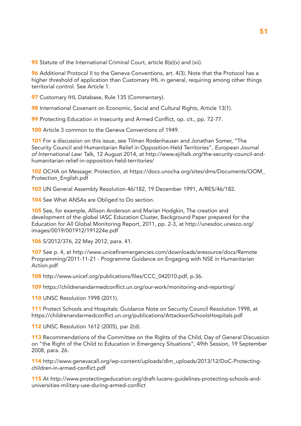95 Statute of the International Criminal Court, article 8(e)(v) and (xii).

96 Additional Protocol II to the Geneva Conventions, art. 4(3). Note that the Protocol has a higher threshold of application than Customary IHL in general, requiring among other things territorial control. See Article 1.

97 Customary IHL Database, Rule 135 (Commentary).

98 International Covenant on Economic, Social and Cultural Rights, Article 13(1).

99 Protecting Education in Insecurity and Armed Conflict, op. cit., pp. 72-77.

100 Article 3 common to the Geneva Conventions of 1949.

101 For a discussion on this issue, see Tilman Rodenhauser and Jonathan Somer, "The Security Council and Humanitarian Relief in Opposition-Held Territories", *European Journal of International Law*: Talk, 12 August 2014, at http://www.ejiltalk.org/the-security-council-andhumanitarian-relief-in-opposition-held-territories/

102 OCHA on Message: Protection, at https://docs.unocha.org/sites/dms/Documents/OOM\_ Protection\_English.pdf

103 UN General Assembly Resolution 46/182, 19 December 1991, A/RES/46/182.

104 See What ANSAs are Obliged to Do section.

105 See, for example, Allison Anderson and Marian Hodgkin, The creation and development of the global IASC Education Cluster, Background Paper prepared for the Education for All Global Monitoring Report, 2011, pp. 2-3, at http://unesdoc.unesco.org/ images/0019/001912/191224e.pdf

106 S/2012/376, 22 May 2012, para. 41.

107 See p. 4, at http://www.unicefinemergencies.com/downloads/eresource/docs/Remote Programming/2011-11-21 - Programme Guidance on Engaging with NSE in Humanitarian Action.pdf

108 http://www.unicef.org/publications/files/CCC\_042010.pdf, p.36.

109 https://childrenandarmedconflict.un.org/our-work/monitoring-and-reporting/

110 UNSC Resolution 1998 (2011).

111 Protect Schools and Hospitals: Guidance Note on Security Council Resolution 1998, at https://childrenandarmedconflict.un.org/publications/AttacksonSchoolsHospitals.pdf

112 UNSC Resolution 1612 (2005), par 2(d).

113 Recommendations of the Committee on the Rights of the Child, Day of General Discussion on "the Right of the Child to Education in Emergency Situations", 49th Session, 19 September 2008, para. 26.

114 http://www.genevacall.org/wp-content/uploads/dlm\_uploads/2013/12/DoC-Protectingchildren-in-armed-conflict.pdf

115 At http://www.protectingeducation.org/draft-lucens-guidelines-protecting-schools-anduniversities-military-use-during-armed-conflict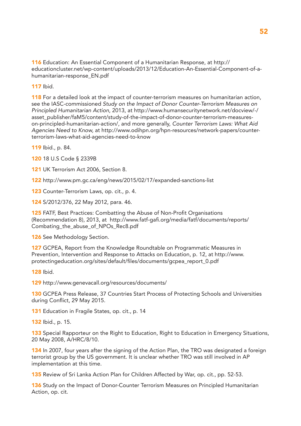116 Education: An Essential Component of a Humanitarian Response, at http:// educationcluster.net/wp-content/uploads/2013/12/Education-An-Essential-Component-of-ahumanitarian-response\_EN.pdf

117 Ibid.

118 For a detailed look at the impact of counter-terrorism measures on humanitarian action, see the IASC-commissioned Study on the Impact of Donor Counter-Terrorism Measures on *Principled Humanitarian Action*, 2013, at http://www.humansecuritynetwork.net/docview/-/ asset\_publisher/faM5/content/study-of-the-impact-of-donor-counter-terrorism-measureson-principled-humanitarian-action/, and more generally, *Counter Terrorism Laws: What Aid Agencies Need to Know,* at http://www.odihpn.org/hpn-resources/network-papers/counterterrorism-laws-what-aid-agencies-need-to-know

119 Ibid., p. 84.

120 18 U.S Code § 2339B

121 UK Terrorism Act 2006, Section 8.

122 http://www.pm.gc.ca/eng/news/2015/02/17/expanded-sanctions-list

123 Counter-Terrorism Laws, op. cit., p. 4.

124 S/2012/376, 22 May 2012, para. 46.

125 FATF, Best Practices: Combatting the Abuse of Non-Profit Organisations (Recommendation 8), 2013, at http://www.fatf-gafi.org/media/fatf/documents/reports/ Combating\_the\_abuse\_of\_NPOs\_Rec8.pdf

126 See Methodology Section.

127 GCPEA, Report from the Knowledge Roundtable on Programmatic Measures in Prevention, Intervention and Response to Attacks on Education, p. 12, at http://www. protectingeducation.org/sites/default/files/documents/gcpea\_report\_0.pdf

128 Ibid.

129 http://www.genevacall.org/resources/documents/

130 GCPEA Press Release, 37 Countries Start Process of Protecting Schools and Universities during Conflict, 29 May 2015.

131 Education in Fragile States, op. cit., p. 14

132 Ibid., p. 15.

133 Special Rapporteur on the Right to Education, Right to Education in Emergency Situations, 20 May 2008, A/HRC/8/10.

134 In 2007, four years after the signing of the Action Plan, the TRO was designated a foreign terrorist group by the US government. It is unclear whether TRO was still involved in AP implementation at this time.

135 Review of Sri Lanka Action Plan for Children Affected by War, op. cit., pp. 52-53.

136 Study on the Impact of Donor-Counter Terrorism Measures on Principled Humanitarian Action, op. cit.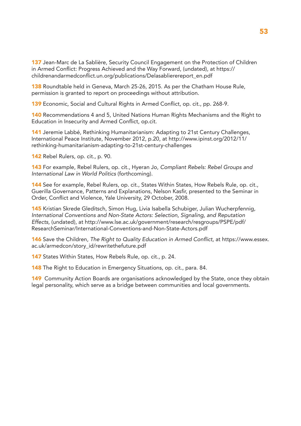137 Jean-Marc de La Sablière, Security Council Engagement on the Protection of Children in Armed Conflict: Progress Achieved and the Way Forward, (undated), at https:// childrenandarmedconflict.un.org/publications/Delasablierereport\_en.pdf

138 Roundtable held in Geneva, March 25-26, 2015. As per the Chatham House Rule, permission is granted to report on proceedings without attribution.

139 Economic, Social and Cultural Rights in Armed Conflict, op. cit., pp. 268-9.

140 Recommendations 4 and 5, United Nations Human Rights Mechanisms and the Right to Education in Insecurity and Armed Conflict, op.cit.

141 Jeremie Labbé, Rethinking Humanitarianism: Adapting to 21st Century Challenges, International Peace Institute, November 2012, p.20, at http://www.ipinst.org/2012/11/ rethinking-humanitarianism-adapting-to-21st-century-challenges

142 Rebel Rulers, op. cit., p. 90.

143 For example, Rebel Rulers, op. cit., Hyeran Jo, *Compliant Rebels: Rebel Groups and International Law in World Politics* (forthcoming).

144 See for example, Rebel Rulers, op. cit., States Within States, How Rebels Rule, op. cit., Guerilla Governance, Patterns and Explanations, Nelson Kasfir, presented to the Seminar in Order, Conflict and Violence, Yale University, 29 October, 2008.

145 Kristian Skrede Gleditsch, Simon Hug, Livia Isabella Schubiger, Julian Wucherpfennig, *International Conventions and Non-State Actors: Selection, Signaling, and Reputation Effects,* (undated), at http://www.lse.ac.uk/government/research/resgroups/PSPE/pdf/ ResearchSeminar/International-Conventions-and-Non-State-Actors.pdf

146 Save the Children, The Right to Quality Education in Armed Conflict, at https://www.essex. ac.uk/armedcon/story\_id/rewritethefuture.pdf

147 States Within States, How Rebels Rule, op. cit., p. 24.

148 The Right to Education in Emergency Situations, op. cit., para. 84.

149 Community Action Boards are organisations acknowledged by the State, once they obtain legal personality, which serve as a bridge between communities and local governments.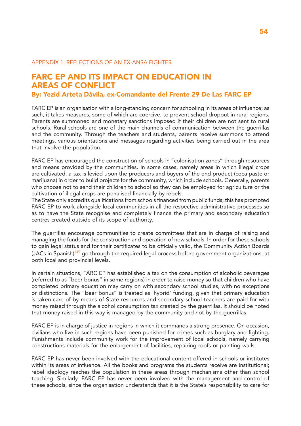#### APPENDIX 1: REFLECTIONS OF AN EX-ANSA FIGHTER

### FARC EP AND ITS IMPACT ON EDUCATION IN AREAS OF CONFLICT

#### By: Yezid Arteta Dávila, ex-Comandante del Frente 29 De Las FARC EP

FARC EP is an organisation with a long-standing concern for schooling in its areas of influence; as such, it takes measures, some of which are coercive, to prevent school dropout in rural regions. Parents are summoned and monetary sanctions imposed if their children are not sent to rural schools. Rural schools are one of the main channels of communication between the guerrillas and the community. Through the teachers and students, parents receive summons to attend meetings, various orientations and messages regarding activities being carried out in the area that involve the population.

FARC EP has encouraged the construction of schools in "colonisation zones" through resources and means provided by the communities. In some cases, namely areas in which illegal crops are cultivated, a tax is levied upon the producers and buyers of the end product (coca paste or marijuana) in order to build projects for the community, which include schools. Generally, parents who choose not to send their children to school so they can be employed for agriculture or the cultivation of illegal crops are penalised financially by rebels.

The State only accredits qualifications from schools financed from public funds; this has prompted FARC EP to work alongside local communities in all the respective administrative processes so as to have the State recognise and completely finance the primary and secondary education centres created outside of its scope of authority.

The guerrillas encourage communities to create committees that are in charge of raising and managing the funds for the construction and operation of new schools. In order for these schools to gain legal status and for their certificates to be officially valid, the Community Action Boards  $(JACs$  in Spanish)<sup>149</sup> go through the required legal process before government organizations, at both local and provincial levels.

In certain situations, FARC EP has established a tax on the consumption of alcoholic beverages (referred to as "beer bonus" in some regions) in order to raise money so that children who have completed primary education may carry on with secondary school studies, with no exceptions or distinctions. The "beer bonus" is treated as 'hybrid' funding, given that primary education is taken care of by means of State resources and secondary school teachers are paid for with money raised through the alcohol consumption tax created by the guerrillas. It should be noted that money raised in this way is managed by the community and not by the guerrillas.

FARC EP is in charge of justice in regions in which it commands a strong presence. On occasion, civilians who live in such regions have been punished for crimes such as burglary and fighting. Punishments include community work for the improvement of local schools, namely carrying constructions materials for the enlargement of facilities, repairing roofs or painting walls.

FARC EP has never been involved with the educational content offered in schools or institutes within its areas of influence. All the books and programs the students receive are institutional; rebel ideology reaches the population in these areas through mechanisms other than school teaching. Similarly, FARC EP has never been involved with the management and control of these schools, since the organisation understands that it is the State's responsibility to care for